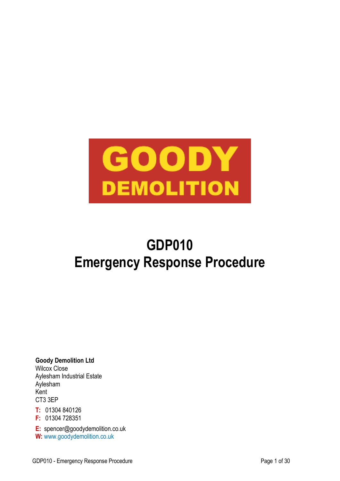

# **GDP010 Emergency Response Procedure**

**Goody Demolition Ltd** Wilcox Close Aylesham Industrial Estate Aylesham Kent CT3 3EP

**T:** 01304 840126 **F:** 01304 728351

**E:** spencer@goodydemolition.co.uk **W:** www.goodydemolition.co.uk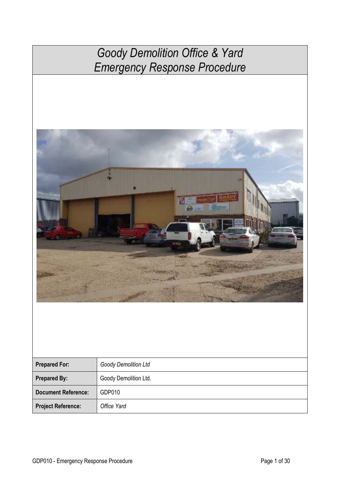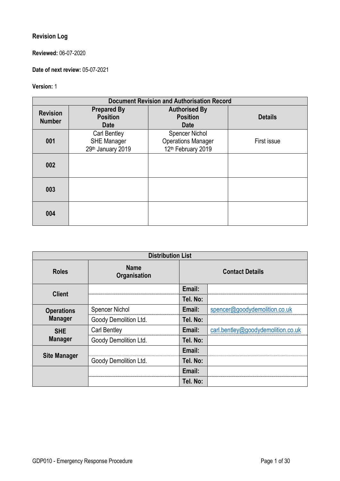### **Revision Log**

**Reviewed:** 06-07-2020

**Date of next review:** 05-07-2021

### **Version:** 1

|                                  | <b>Document Revision and Authorisation Record</b>       |                                                                                      |                |
|----------------------------------|---------------------------------------------------------|--------------------------------------------------------------------------------------|----------------|
| <b>Revision</b><br><b>Number</b> | <b>Prepared By</b><br><b>Position</b><br>Date           | <b>Authorised By</b><br><b>Position</b><br><b>Date</b>                               | <b>Details</b> |
| 001                              | Carl Bentley<br><b>SHE Manager</b><br>29th January 2019 | <b>Spencer Nichol</b><br><b>Operations Manager</b><br>12 <sup>th</sup> February 2019 | First issue    |
| 002                              |                                                         |                                                                                      |                |
| 003                              |                                                         |                                                                                      |                |
| 004                              |                                                         |                                                                                      |                |

| <b>Distribution List</b> |                                    |                        |                                    |
|--------------------------|------------------------------------|------------------------|------------------------------------|
| <b>Roles</b>             | <b>Name</b><br><b>Organisation</b> | <b>Contact Details</b> |                                    |
| <b>Client</b>            |                                    | Email:                 |                                    |
|                          |                                    | Tel. No:               |                                    |
| <b>Operations</b>        | <b>Spencer Nichol</b>              | Email:                 | spencer@goodydemolition.co.uk      |
| <b>Manager</b>           | Goody Demolition Ltd.              | Tel. No:               |                                    |
| <b>SHE</b>               | <b>Carl Bentley</b>                | Email:                 | carl.bentley@goodydemolition.co.uk |
| <b>Manager</b>           | Goody Demolition Ltd.              | Tel. No:               |                                    |
|                          |                                    | Email:                 |                                    |
| <b>Site Manager</b>      | Goody Demolition Ltd.              | Tel. No:               |                                    |
|                          |                                    | Email:                 |                                    |
|                          |                                    | Tel. No:               |                                    |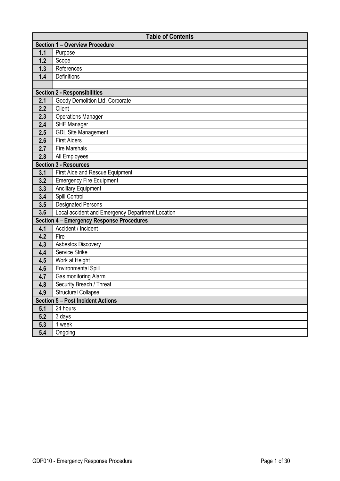|     | <b>Table of Contents</b>                         |
|-----|--------------------------------------------------|
|     | <b>Section 1 - Overview Procedure</b>            |
| 1.1 | Purpose                                          |
| 1.2 | Scope                                            |
| 1.3 | References                                       |
| 1.4 | Definitions                                      |
|     |                                                  |
|     | <b>Section 2 - Responsibilities</b>              |
| 2.1 | Goody Demolition Ltd. Corporate                  |
| 2.2 | <b>Client</b>                                    |
| 2.3 | <b>Operations Manager</b>                        |
| 2.4 | <b>SHE Manager</b>                               |
| 2.5 | <b>GDL Site Management</b>                       |
| 2.6 | <b>First Aiders</b>                              |
| 2.7 | <b>Fire Marshals</b>                             |
| 2.8 | All Employees                                    |
|     | <b>Section 3 - Resources</b>                     |
| 3.1 | <b>First Aide and Rescue Equipment</b>           |
| 3.2 | <b>Emergency Fire Equipment</b>                  |
| 3.3 | <b>Ancillary Equipment</b>                       |
| 3.4 | Spill Control                                    |
| 3.5 | <b>Designated Persons</b>                        |
| 3.6 | Local accident and Emergency Department Location |
|     | <b>Section 4 - Emergency Response Procedures</b> |
| 4.1 | Accident / Incident                              |
| 4.2 | Fire                                             |
| 4.3 | Asbestos Discovery                               |
| 4.4 | Service Strike                                   |
| 4.5 | Work at Height                                   |
| 4.6 | <b>Environmental Spill</b>                       |
| 4.7 | Gas monitoring Alarm                             |
| 4.8 | Security Breach / Threat                         |
| 4.9 | <b>Structural Collapse</b>                       |
|     | <b>Section 5 - Post Incident Actions</b>         |
| 5.1 | 24 hours                                         |
| 5.2 | $\overline{3}$ days                              |
| 5.3 | 1 week                                           |
| 5.4 | Ongoing                                          |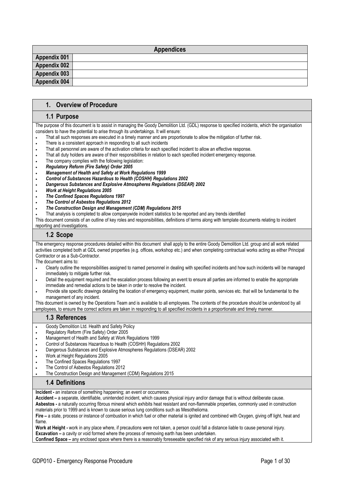| <b>Appendices</b>   |  |  |
|---------------------|--|--|
| <b>Appendix 001</b> |  |  |
| <b>Appendix 002</b> |  |  |
| Appendix 003        |  |  |
| Appendix 004        |  |  |

#### **1. Overview of Procedure**

#### **1.1 Purpose**

The purpose of this document is to assist in managing the Goody Demolition Ltd. (GDL) response to specified incidents, which the organisation considers to have the potential to arise through its undertakings. It will ensure:

- That all such responses are executed in a timely manner and are proportionate to allow the mitigation of further risk.
- There is a consistent approach in responding to all such incidents
- That all personnel are aware of the activation criteria for each specified incident to allow an effective response.
- That all duty holders are aware of their responsibilities in relation to each specified incident emergency response.
- . The company complies with the following legislation:
- *Regulatory Reform (Fire Safety) Order 2005*
- *Management of Health and Safety at Work Regulations 1999*
- *Control of Substances Hazardous to Health (COSHH) Regulations 2002*
- *Dangerous Substances and Explosive Atmospheres Regulations (DSEAR) 2002*
- *Work at Height Regulations 2005*
- *The Confined Spaces Regulations 1997*
- *The Control of Asbestos Regulations 2012*
- *The Construction Design and Management (CDM) Regulations 2015*
- That analysis is completed to allow companywide incident statistics to be reported and any trends identified

This document consists of an outline of key roles and responsibilities, definitions of terms along with template documents relating to incident reporting and investigations.

#### **1.2 Scope**

The emergency response procedures detailed within this document shall apply to the entire Goody Demolition Ltd. group and all work related activities completed both at GDL owned properties (e.g. offices, workshop etc.) and when completing contractual works acting as either Principal Contractor or as a Sub-Contractor.

The document aims to:

- Clearly outline the responsibilities assigned to named personnel in dealing with specified incidents and how such incidents will be managed immediately to mitigate further risk.
- Detail the equipment required and the escalation process following an event to ensure all parties are informed to enable the appropriate immediate and remedial actions to be taken in order to resolve the incident.
- Provide site specific drawings detailing the location of emergency equipment, muster points, services etc. that will be fundamental to the management of any incident.

This document is owned by the Operations Team and is available to all employees. The contents of the procedure should be understood by all employees, to ensure the correct actions are taken in responding to all specified incidents in a proportionate and timely manner.

#### **1.3 References**

- Goody Demolition Ltd. Health and Safety Policy
- Regulatory Reform (Fire Safety) Order 2005
- Management of Health and Safety at Work Regulations 1999
- Control of Substances Hazardous to Health (COSHH) Regulations 2002
- Dangerous Substances and Explosive Atmospheres Regulations (DSEAR) 2002
- Work at Height Regulations 2005
- The Confined Spaces Regulations 1997
- The Control of Asbestos Regulations 2012
- The Construction Design and Management (CDM) Regulations 2015

#### **1.4 Definitions**

**Incident -** an instance of something happening; an event or occurrence.

**Accident –** a separate, identifiable, unintended incident, which causes physical injury and/or damage that is without deliberate cause.

**Asbestos -** a naturally occurring fibrous mineral which exhibits heat resistant and non-flammable properties, commonly used in construction materials prior to 1999 and is known to cause serious lung conditions such as Mesothelioma.

**Fire –** a state, process or instance of combustion in which fuel or other material is ignited and combined with Oxygen, giving off light, heat and flame.

**Work at Height -** work in any place where, if precautions were not taken, a person could fall a distance liable to cause personal injury. **Excavation –** a cavity or void formed where the process of removing earth has been undertaken.

**Confined Space –** any enclosed space where there is a reasonably foreseeable specified risk of any serious injury associated with it.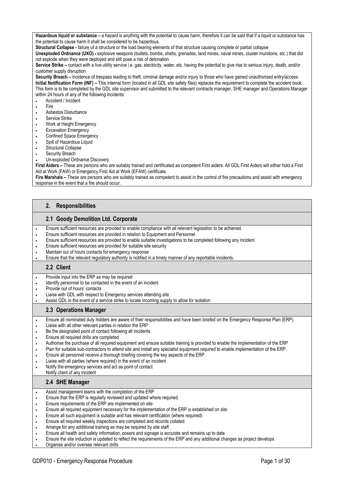Hazardous liquid or substance – a hazard is anything with the potential to cause harm, therefore it can be said that if a liquid or substance has the potential to cause harm it shall be considered to be hazardous.

**Structural Collapse -** failure of a structure or the load bearing elements of that structure causing complete or partial collapse

**Unexploded Ordnance (UXO) -** explosive weapons (bullets, bombs, shells, grenades, land mines, naval mines, cluster munitions, etc.) that did not explode when they were deployed and still pose a risk of detonation.

**Service Strike –** contact with a live utility service i.e. gas, electricity, water, etc. having the potential to give rise to serious injury, death, and/or customer supply disruption

**Security Breach –** incidence of trespass leading to theft, criminal damage and/or injury to those who have gained unauthorised entry/access. **Initial Notification Form (INF)** – This internal form (located in all GDL site safety files) replaces the requirement to complete the accident book. This form is to be completed by the GDL site supervisor and submitted to the relevant contracts manager, SHE manager and Operations Manager within 24 hours of any of the following incidents:

- Accident / Incident
- . Fire
- Asbestos Disturbance
- **.** Service Strike
- Work at Height Emergency
- **Excavation Emergency**
- **•** Confined Space Emergency
- Spill of Hazardous Liquid
- Structural Collapse
- Security Breach
- Un-exploded Ordnance Discovery

**First Aiders –** These are persons who are suitably trained and certificated as competent First aiders. All GDL First Aiders will either hold a First Aid at Work (FAW) or Emergency First Aid at Work (EFAW) certificate.

**Fire Marshals –** These are persons who are suitably trained as competent to assist in the control of fire precautions and assist with emergency response in the event that a fire should occur.

#### **2. Responsibilities**

#### **2.1 Goody Demolition Ltd. Corporate**

- Ensure sufficient resources are provided to enable compliance with all relevant legislation to be achieved.
- Ensure sufficient resources are provided in relation to Equipment and Personnel
- Ensure sufficient resources are provided to enable suitable investigations to be completed following any incident
- Ensure sufficient resources are provided for suitable site security
- Maintain out of hours contacts for emergency response
- Ensure that the relevant regulatory authority is notified in a timely manner of any reportable incidents.

#### **2.2 Client**

- Provide input into the ERP as may be required
- Identify personnel to be contacted in the event of an incident
- Provide out of hours' contacts
- Liaise with GDL with respect to Emergency services attending site
- Assist GDL in the event of a service strike to locate incoming supply to allow for isolation

#### **2.3 Operations Manager**

- Ensure all nominated duty holders are aware of their responsibilities and have been briefed on the Emergency Response Plan (ERP)
- Liaise with all other relevant parties in relation the ERP
- Be the designated point of contact following all incidents
- Ensure all required drills are completed
- Authorise the purchase of all required equipment and ensure suitable training is provided to enable the implementation of the ERP
- Plan for suitable sub-contractors to attend site and install any specialist equipment required to enable implementation of the ERP.
- Ensure all personnel receive a thorough briefing covering the key aspects of the ERP
- Liaise with all parties (where required) in the event of an incident
- Notify the emergency services and act as point of contact
- Notify client of any incident

#### **2.4 SHE Manager**

- Assist management teams with the completion of the ERP
- Ensure that the ERP is regularly reviewed and updated where required.
- Ensure requirements of the ERP are implemented on site
- Ensure all required equipment necessary for the implementation of the ERP is established on site
- Ensure all such equipment is suitable and has relevant certification (where required)
- Ensure all required weekly inspections are completed and records collated
- Arrange for any additional training as may be required by site staff
- Ensure all health and safety information, posers and signage is accurate and remains up to date
- Ensure the site induction is updated to reflect the requirements of the ERP and any additional changes as project develops
- Organise and/or oversee relevant drills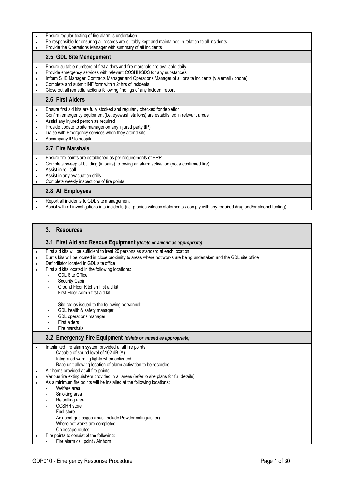- Ensure regular testing of fire alarm is undertaken
- Be responsible for ensuring all records are suitably kept and maintained in relation to all incidents
- **•** Provide the Operations Manager with summary of all incidents

#### **2.5 GDL Site Management**

- Ensure suitable numbers of first aiders and fire marshals are available daily
- Provide emergency services with relevant COSHH/SDS for any substances
- Inform SHE Manager, Contracts Manager and Operations Manager of all onsite incidents (via email / phone)
- Complete and submit INF form within 24hrs of incidents
- Close out all remedial actions following findings of any incident report

#### **2.6 First Aiders**

- Ensure first aid kits are fully stocked and regularly checked for depletion
- Confirm emergency equipment (i.e. eyewash stations) are established in relevant areas
- Assist any injured person as required
- Provide update to site manager on any injured party (IP)
- Liaise with Emergency services when they attend site
- Accompany IP to hospital

#### **2.7 Fire Marshals**

- Ensure fire points are established as per requirements of ERP
- Complete sweep of building (in pairs) following an alarm activation (not a confirmed fire)
- Assist in roll call
- Assist in any evacuation drills
- Complete weekly inspections of fire points

#### **2.8 All Employees**

- Report all incidents to GDL site management
- Assist with all investigations into incidents (i.e. provide witness statements / comply with any required drug and/or alcohol testing)

#### **3. Resources**

| 3.1 First Aid and Rescue Equipment (delete or amend as appropriate) |
|---------------------------------------------------------------------|
|                                                                     |

- First aid kits will be sufficient to treat 20 persons as standard at each location
- Burns kits will be located in close proximity to areas where hot works are being undertaken and the GDL site office
- Defibrillator located in GDL site office
- First aid kits located in the following locations:
	- GDL Site Office
		- Security Cabin
		- Ground Floor Kitchen first aid kit
		- First Floor Admin first aid kit
		- Site radios issued to the following personnel:
		- GDL health & safety manager
		- GDL operations manager
		- First aiders
		- Fire marshals

#### **3.2 Emergency Fire Equipment** *(delete or amend as appropriate)*

- Interlinked fire alarm system provided at all fire points
	- Capable of sound level of 102 dB (A)
	- Integrated warning lights when activated
	- Base unit allowing location of alarm activation to be recorded
- Air horns provided at all fire points
	- Various fire extinguishers provided in all areas (refer to site plans for full details)
- As a minimum fire points will be installed at the following locations:
	- Welfare area
		- Smoking area
	- Refuelling area
	- COSHH store
	- Fuel store
	- Adjacent gas cages (must include Powder extinguisher)
	- Where hot works are completed
	- On escape routes
- Fire points to consist of the following:
	- Fire alarm call point / Air horn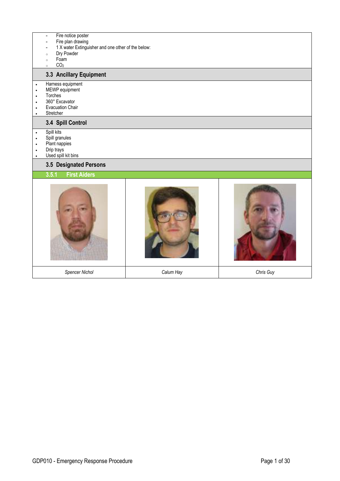- Fire notice poster<br>- Fire plan drawing
- Fire plan drawing
- 1 X water Extinguisher and one other of the below:
- <sup>o</sup> Dry Powder
- <sup>o</sup> Foam
- $CO<sub>2</sub>$

#### **3.3 Ancillary Equipment**

- Harness equipment
- MEWP equipment
- Torches
- 360° Excavator
- Evacuation Chair
- Stretcher

#### **3.4 Spill Control**

- Spill kits
- Spill granules
- Plant nappies
- Drip trays
- Used spill kit bins

#### **3.5 Designated Persons**

#### **3.5.1 First Aiders**

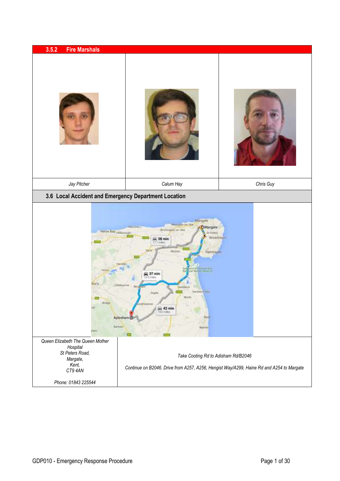| 3.5.2<br><b>Fire Marshals</b>                                                      |                                                                                                                                                                                                                                                                                                                 |                       |
|------------------------------------------------------------------------------------|-----------------------------------------------------------------------------------------------------------------------------------------------------------------------------------------------------------------------------------------------------------------------------------------------------------------|-----------------------|
|                                                                                    |                                                                                                                                                                                                                                                                                                                 |                       |
| Jay Pitcher                                                                        | Calum Hay                                                                                                                                                                                                                                                                                                       | Chris Guy             |
| 3.6 Local Accident and Emergency Department Location                               |                                                                                                                                                                                                                                                                                                                 |                       |
| Herbe Bay June<br>Bridge<br>Queen Elizabeth The Queen Mother                       | Märgate<br><b><i>All of Le cent</i></b><br><b>OMargate</b><br>Britimaton an Se<br>Il Febris<br>ing 35 min<br>Literatur<br>Mini<br>Ramsgalli<br>A & EXAMPLE ELL<br><b>Martiz's Heservic</b><br>237 min<br>Littletocche<br><b>NORTH</b><br>Weeth<br>ing 42 min<br>Dest.<br>Aylesham @<br><b>Batham</b><br>tuttere | <b>Expandistalist</b> |
| Hospital<br>St Peters Road,<br>Margate,<br>Kent,<br>CT9 4AN<br>Phone: 01843 225544 | Take Cooting Rd to Adisham Rd/B2046<br>Continue on B2046. Drive from A257, A256, Hengist Way/A299, Haine Rd and A254 to Margate                                                                                                                                                                                 |                       |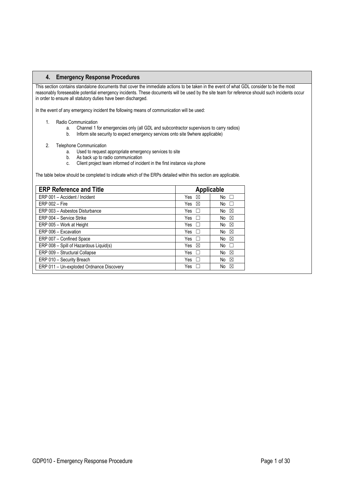This section contains standalone documents that cover the immediate actions to be taken in the event of what GDL consider to be the most reasonably foreseeable potential emergency incidents. These documents will be used by the site team for reference should such incidents occur in order to ensure all statutory duties have been discharged.

In the event of any emergency incident the following means of communication will be used:

- 1. Radio Communication
	- a. Channel 1 for emergencies only (all GDL and subcontractor supervisors to carry radios)
	- b. Inform site security to expect emergency services onto site 9where applicable)
- 2. Telephone Communication

֧֦֖֖֖֚֚֚֚֞֞֬

- a. Used to request appropriate emergency services to site
- b. As back up to radio communication
- c. Client project team informed of incident in the first instance via phone

The table below should be completed to indicate which of the ERPs detailed within this section are applicable.

| <b>ERP Reference and Title</b>           | Applicable          |                    |
|------------------------------------------|---------------------|--------------------|
| ERP 001 - Accident / Incident            | Yes<br>⊠            | No<br>$\mathbf{L}$ |
| $ERP 002 - Fire$                         | Yes<br>⊠            | No<br>$\mathbf{L}$ |
| ERP 003 - Asbestos Disturbance           | Yes<br>$\mathbf{L}$ | No<br>$\boxtimes$  |
| ERP 004 - Service Strike                 | Yes<br>$\mathbf{L}$ | $\boxtimes$<br>No  |
| ERP 005 - Work at Height                 | Yes<br>$\mathbf{L}$ | No<br>⊠            |
| ERP 006 - Excavation                     | Yes<br>$\mathbf{L}$ | $\boxtimes$<br>No  |
| ERP 007 - Confined Space                 | Yes<br>$\perp$      | No<br>$\boxtimes$  |
| ERP 008 - Spill of Hazardous Liquid(s)   | Yes<br>⊠            | No<br>$\mathbf{L}$ |
| ERP 009 - Structural Collapse            | Yes<br>$\perp$      | No<br>$\boxtimes$  |
| ERP 010 - Security Breach                | Yes<br>$\mathbf{L}$ | No<br>⊠            |
| ERP 011 - Un-exploded Ordnance Discovery | Yes                 | No<br>⊠            |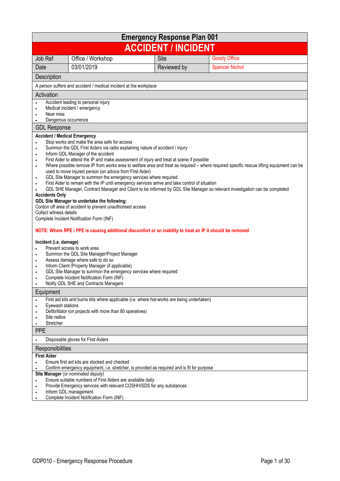| <b>Emergency Response Plan 001</b>                                                                                                                                                                                  |                                                                                                                                                                                                                                                                                                                                                                                                                                                                                                                                                                                                                                                                                                                                                                                                                                                                                                                                                                                                                                                                                                              |      |             |                                                                                                                                                                                                                                                                        |
|---------------------------------------------------------------------------------------------------------------------------------------------------------------------------------------------------------------------|--------------------------------------------------------------------------------------------------------------------------------------------------------------------------------------------------------------------------------------------------------------------------------------------------------------------------------------------------------------------------------------------------------------------------------------------------------------------------------------------------------------------------------------------------------------------------------------------------------------------------------------------------------------------------------------------------------------------------------------------------------------------------------------------------------------------------------------------------------------------------------------------------------------------------------------------------------------------------------------------------------------------------------------------------------------------------------------------------------------|------|-------------|------------------------------------------------------------------------------------------------------------------------------------------------------------------------------------------------------------------------------------------------------------------------|
| <b>ACCIDENT / INCIDENT</b>                                                                                                                                                                                          |                                                                                                                                                                                                                                                                                                                                                                                                                                                                                                                                                                                                                                                                                                                                                                                                                                                                                                                                                                                                                                                                                                              |      |             |                                                                                                                                                                                                                                                                        |
| Job Ref                                                                                                                                                                                                             | Office / Workshop                                                                                                                                                                                                                                                                                                                                                                                                                                                                                                                                                                                                                                                                                                                                                                                                                                                                                                                                                                                                                                                                                            | Site |             | <b>Goody Office</b>                                                                                                                                                                                                                                                    |
| Date                                                                                                                                                                                                                | 03/01/2019                                                                                                                                                                                                                                                                                                                                                                                                                                                                                                                                                                                                                                                                                                                                                                                                                                                                                                                                                                                                                                                                                                   |      | Reviewed by | <b>Spencer Nichol</b>                                                                                                                                                                                                                                                  |
| Description                                                                                                                                                                                                         |                                                                                                                                                                                                                                                                                                                                                                                                                                                                                                                                                                                                                                                                                                                                                                                                                                                                                                                                                                                                                                                                                                              |      |             |                                                                                                                                                                                                                                                                        |
|                                                                                                                                                                                                                     | A person suffers and accident / medical incident at the workplace                                                                                                                                                                                                                                                                                                                                                                                                                                                                                                                                                                                                                                                                                                                                                                                                                                                                                                                                                                                                                                            |      |             |                                                                                                                                                                                                                                                                        |
| Activation                                                                                                                                                                                                          |                                                                                                                                                                                                                                                                                                                                                                                                                                                                                                                                                                                                                                                                                                                                                                                                                                                                                                                                                                                                                                                                                                              |      |             |                                                                                                                                                                                                                                                                        |
| $\bullet$<br>Near miss<br>Dangerous occurrence                                                                                                                                                                      | Accident leading to personal injury<br>Medical incident / emergency                                                                                                                                                                                                                                                                                                                                                                                                                                                                                                                                                                                                                                                                                                                                                                                                                                                                                                                                                                                                                                          |      |             |                                                                                                                                                                                                                                                                        |
| <b>GDL Response</b>                                                                                                                                                                                                 |                                                                                                                                                                                                                                                                                                                                                                                                                                                                                                                                                                                                                                                                                                                                                                                                                                                                                                                                                                                                                                                                                                              |      |             |                                                                                                                                                                                                                                                                        |
| <b>Accident / Medical Emergency</b><br>٠<br>$\bullet$<br>$\bullet$<br>٠<br>$\bullet$<br>$\bullet$<br><b>Accidents Only</b><br>Collect witness details<br>Incident (i.e. damage)<br>٠<br>$\bullet$<br>٠<br>$\bullet$ | Stop works and make the area safe for access<br>Summon the GDL First Aiders via radio explaining nature of accident / injury<br>Inform GDL Manager of the accident<br>First Aider to attend the IP and make assessment of injury and treat at scene if possible<br>used to move injured person (on advice from First Aider)<br>GDL Site Manager to summon the emergency services where required.<br>First Aider to remain with the IP until emergency services arrive and take control of situation<br>GDL Site Manager to undertake the following:<br>Cordon off area of accident to prevent unauthorised access<br>Complete Incident Notification Form (INF)<br>NOTE: Where RPE / PPE is causing additional discomfort or an inability to treat an IP it should be removed<br>Prevent access to work area<br>Summon the GDL Site Manager/Project Manager<br>Assess damage where safe to do so<br>Inform Client /Property Manager (if applicable)<br>GDL Site Manager to summon the emergency services where required<br>Complete Incident Notification Form (INF)<br>Notify GDL SHE and Contracts Managers |      |             | Where possible remove IP from works area to welfare area and treat as required - where required specific rescue lifting equipment can be<br>GDL SHE Manager, Contract Manager and Client to be informed by GDL Site Manager so relevant investigation can be completed |
| Equipment                                                                                                                                                                                                           |                                                                                                                                                                                                                                                                                                                                                                                                                                                                                                                                                                                                                                                                                                                                                                                                                                                                                                                                                                                                                                                                                                              |      |             |                                                                                                                                                                                                                                                                        |
| Eyewash stations<br>Site radios<br>Stretcher                                                                                                                                                                        | First aid kits and burns kits where applicable (i.e. where hot-works are being undertaken)<br>Defibrillator (on projects with more than 80 operatives)                                                                                                                                                                                                                                                                                                                                                                                                                                                                                                                                                                                                                                                                                                                                                                                                                                                                                                                                                       |      |             |                                                                                                                                                                                                                                                                        |
| <b>PPE</b>                                                                                                                                                                                                          |                                                                                                                                                                                                                                                                                                                                                                                                                                                                                                                                                                                                                                                                                                                                                                                                                                                                                                                                                                                                                                                                                                              |      |             |                                                                                                                                                                                                                                                                        |
|                                                                                                                                                                                                                     | Disposable gloves for First Aiders                                                                                                                                                                                                                                                                                                                                                                                                                                                                                                                                                                                                                                                                                                                                                                                                                                                                                                                                                                                                                                                                           |      |             |                                                                                                                                                                                                                                                                        |
| Responsibilities                                                                                                                                                                                                    |                                                                                                                                                                                                                                                                                                                                                                                                                                                                                                                                                                                                                                                                                                                                                                                                                                                                                                                                                                                                                                                                                                              |      |             |                                                                                                                                                                                                                                                                        |
| <b>First Aider</b>                                                                                                                                                                                                  | Ensure first aid kits are stocked and checked<br>Confirm emergency equipment, i.e. stretcher, is provided as required and is fit for purpose                                                                                                                                                                                                                                                                                                                                                                                                                                                                                                                                                                                                                                                                                                                                                                                                                                                                                                                                                                 |      |             |                                                                                                                                                                                                                                                                        |
| ٠                                                                                                                                                                                                                   | Site Manager (or nominated deputy)<br>Ensure suitable numbers of First Aiders are available daily<br>Provide Emergency services with relevant COSHH/SDS for any substances<br>Inform GDL management<br>Complete Incident Notification Form (INF)                                                                                                                                                                                                                                                                                                                                                                                                                                                                                                                                                                                                                                                                                                                                                                                                                                                             |      |             |                                                                                                                                                                                                                                                                        |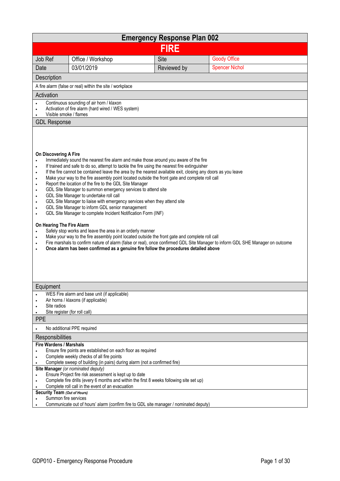| <b>Emergency Response Plan 002</b>                                                                                                                      |                                                                                                                                                                                                                                                                                                                                                                                                                                                                                                                                                                                                                                                                                                                                                                                                                                                                                                                                                                                                                                      |             |                                                                                                                                |  |
|---------------------------------------------------------------------------------------------------------------------------------------------------------|--------------------------------------------------------------------------------------------------------------------------------------------------------------------------------------------------------------------------------------------------------------------------------------------------------------------------------------------------------------------------------------------------------------------------------------------------------------------------------------------------------------------------------------------------------------------------------------------------------------------------------------------------------------------------------------------------------------------------------------------------------------------------------------------------------------------------------------------------------------------------------------------------------------------------------------------------------------------------------------------------------------------------------------|-------------|--------------------------------------------------------------------------------------------------------------------------------|--|
| <b>FIRE</b>                                                                                                                                             |                                                                                                                                                                                                                                                                                                                                                                                                                                                                                                                                                                                                                                                                                                                                                                                                                                                                                                                                                                                                                                      |             |                                                                                                                                |  |
| Job Ref                                                                                                                                                 | Office / Workshop                                                                                                                                                                                                                                                                                                                                                                                                                                                                                                                                                                                                                                                                                                                                                                                                                                                                                                                                                                                                                    | Site        | <b>Goody Office</b>                                                                                                            |  |
| Date                                                                                                                                                    | 03/01/2019                                                                                                                                                                                                                                                                                                                                                                                                                                                                                                                                                                                                                                                                                                                                                                                                                                                                                                                                                                                                                           | Reviewed by | <b>Spencer Nichol</b>                                                                                                          |  |
| Description                                                                                                                                             |                                                                                                                                                                                                                                                                                                                                                                                                                                                                                                                                                                                                                                                                                                                                                                                                                                                                                                                                                                                                                                      |             |                                                                                                                                |  |
|                                                                                                                                                         | A fire alarm (false or real) within the site / workplace                                                                                                                                                                                                                                                                                                                                                                                                                                                                                                                                                                                                                                                                                                                                                                                                                                                                                                                                                                             |             |                                                                                                                                |  |
| Activation                                                                                                                                              |                                                                                                                                                                                                                                                                                                                                                                                                                                                                                                                                                                                                                                                                                                                                                                                                                                                                                                                                                                                                                                      |             |                                                                                                                                |  |
| Visible smoke / flames                                                                                                                                  | Continuous sounding of air horn / klaxon<br>Activation of fire alarm (hard wired / WES system)                                                                                                                                                                                                                                                                                                                                                                                                                                                                                                                                                                                                                                                                                                                                                                                                                                                                                                                                       |             |                                                                                                                                |  |
| <b>GDL Response</b>                                                                                                                                     |                                                                                                                                                                                                                                                                                                                                                                                                                                                                                                                                                                                                                                                                                                                                                                                                                                                                                                                                                                                                                                      |             |                                                                                                                                |  |
| On Discovering A Fire<br>$\bullet$<br>$\bullet$<br>$\bullet$<br>٠<br>٠<br>$\bullet$<br>$\bullet$<br>$\bullet$<br>On Hearing The Fire Alarm<br>$\bullet$ | Immediately sound the nearest fire alarm and make those around you aware of the fire<br>If trained and safe to do so, attempt to tackle the fire using the nearest fire extinguisher<br>If the fire cannot be contained leave the area by the nearest available exit, closing any doors as you leave<br>Make your way to the fire assembly point located outside the front gate and complete roll call<br>Report the location of the fire to the GDL Site Manager<br>GDL Site Manager to summon emergency services to attend site<br>GDL Site Manager to undertake roll call<br>GDL Site Manager to liaise with emergency services when they attend site<br>GDL Site Manager to inform GDL senior management<br>GDL Site Manager to complete Incident Notification Form (INF)<br>Safely stop works and leave the area in an orderly manner<br>Make your way to the fire assembly point located outside the front gate and complete roll call<br>Once alarm has been confirmed as a genuine fire follow the procedures detailed above |             | Fire marshals to confirm nature of alarm (false or real), once confirmed GDL Site Manager to inform GDL SHE Manager on outcome |  |
| Equipment                                                                                                                                               |                                                                                                                                                                                                                                                                                                                                                                                                                                                                                                                                                                                                                                                                                                                                                                                                                                                                                                                                                                                                                                      |             |                                                                                                                                |  |
| $\bullet$<br>Site radios<br>٠                                                                                                                           | WES Fire alarm and base unit (if applicable)<br>Air horns / klaxons (if applicable)<br>Site register (for roll call)                                                                                                                                                                                                                                                                                                                                                                                                                                                                                                                                                                                                                                                                                                                                                                                                                                                                                                                 |             |                                                                                                                                |  |
| <b>PPE</b>                                                                                                                                              |                                                                                                                                                                                                                                                                                                                                                                                                                                                                                                                                                                                                                                                                                                                                                                                                                                                                                                                                                                                                                                      |             |                                                                                                                                |  |
|                                                                                                                                                         | No additional PPE required                                                                                                                                                                                                                                                                                                                                                                                                                                                                                                                                                                                                                                                                                                                                                                                                                                                                                                                                                                                                           |             |                                                                                                                                |  |
| Responsibilities                                                                                                                                        |                                                                                                                                                                                                                                                                                                                                                                                                                                                                                                                                                                                                                                                                                                                                                                                                                                                                                                                                                                                                                                      |             |                                                                                                                                |  |
| <b>Fire Wardens / Marshals</b><br>$\bullet$                                                                                                             | Ensure fire points are established on each floor as required<br>Complete weekly checks of all fire points                                                                                                                                                                                                                                                                                                                                                                                                                                                                                                                                                                                                                                                                                                                                                                                                                                                                                                                            |             |                                                                                                                                |  |
|                                                                                                                                                         | Complete sweep of building (in pairs) during alarm (not a confirmed fire)<br>Site Manager (or nominated deputy)                                                                                                                                                                                                                                                                                                                                                                                                                                                                                                                                                                                                                                                                                                                                                                                                                                                                                                                      |             |                                                                                                                                |  |
| $\bullet$                                                                                                                                               | Ensure Project fire risk assessment is kept up to date<br>Complete fire drills (every 6 months and within the first 8 weeks following site set up)                                                                                                                                                                                                                                                                                                                                                                                                                                                                                                                                                                                                                                                                                                                                                                                                                                                                                   |             |                                                                                                                                |  |
| Security Team (Out of Hours)                                                                                                                            | Complete roll call in the event of an evacuation                                                                                                                                                                                                                                                                                                                                                                                                                                                                                                                                                                                                                                                                                                                                                                                                                                                                                                                                                                                     |             |                                                                                                                                |  |
| Summon fire services                                                                                                                                    | Communicate out of hours' alarm (confirm fire to GDL site manager / nominated deputy)                                                                                                                                                                                                                                                                                                                                                                                                                                                                                                                                                                                                                                                                                                                                                                                                                                                                                                                                                |             |                                                                                                                                |  |
|                                                                                                                                                         |                                                                                                                                                                                                                                                                                                                                                                                                                                                                                                                                                                                                                                                                                                                                                                                                                                                                                                                                                                                                                                      |             |                                                                                                                                |  |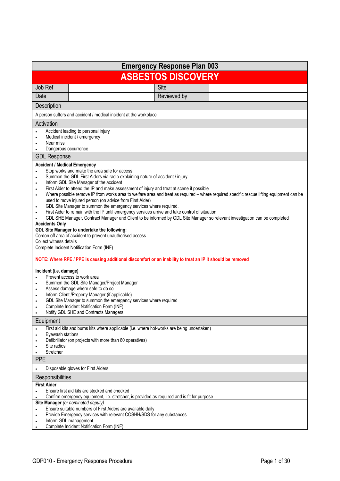|                                                                                                                                                                                                              |                                                                                                                                                                                                                                                                                                                                                                                                                                                                                                                                                                                                                                                                                                                                                                                                                                                                                                                                                                                                                                                                                                                                                                                                                                                 | <b>Emergency Response Plan 003</b> |                                                                                                                                          |  |  |
|--------------------------------------------------------------------------------------------------------------------------------------------------------------------------------------------------------------|-------------------------------------------------------------------------------------------------------------------------------------------------------------------------------------------------------------------------------------------------------------------------------------------------------------------------------------------------------------------------------------------------------------------------------------------------------------------------------------------------------------------------------------------------------------------------------------------------------------------------------------------------------------------------------------------------------------------------------------------------------------------------------------------------------------------------------------------------------------------------------------------------------------------------------------------------------------------------------------------------------------------------------------------------------------------------------------------------------------------------------------------------------------------------------------------------------------------------------------------------|------------------------------------|------------------------------------------------------------------------------------------------------------------------------------------|--|--|
|                                                                                                                                                                                                              | <b>ASBESTOS DISCOVERY</b>                                                                                                                                                                                                                                                                                                                                                                                                                                                                                                                                                                                                                                                                                                                                                                                                                                                                                                                                                                                                                                                                                                                                                                                                                       |                                    |                                                                                                                                          |  |  |
| Job Ref                                                                                                                                                                                                      |                                                                                                                                                                                                                                                                                                                                                                                                                                                                                                                                                                                                                                                                                                                                                                                                                                                                                                                                                                                                                                                                                                                                                                                                                                                 | Site                               |                                                                                                                                          |  |  |
| Date                                                                                                                                                                                                         |                                                                                                                                                                                                                                                                                                                                                                                                                                                                                                                                                                                                                                                                                                                                                                                                                                                                                                                                                                                                                                                                                                                                                                                                                                                 | Reviewed by                        |                                                                                                                                          |  |  |
| Description                                                                                                                                                                                                  |                                                                                                                                                                                                                                                                                                                                                                                                                                                                                                                                                                                                                                                                                                                                                                                                                                                                                                                                                                                                                                                                                                                                                                                                                                                 |                                    |                                                                                                                                          |  |  |
|                                                                                                                                                                                                              | A person suffers and accident / medical incident at the workplace                                                                                                                                                                                                                                                                                                                                                                                                                                                                                                                                                                                                                                                                                                                                                                                                                                                                                                                                                                                                                                                                                                                                                                               |                                    |                                                                                                                                          |  |  |
| Activation                                                                                                                                                                                                   |                                                                                                                                                                                                                                                                                                                                                                                                                                                                                                                                                                                                                                                                                                                                                                                                                                                                                                                                                                                                                                                                                                                                                                                                                                                 |                                    |                                                                                                                                          |  |  |
| Near miss<br>Dangerous occurrence                                                                                                                                                                            | Accident leading to personal injury<br>Medical incident / emergency                                                                                                                                                                                                                                                                                                                                                                                                                                                                                                                                                                                                                                                                                                                                                                                                                                                                                                                                                                                                                                                                                                                                                                             |                                    |                                                                                                                                          |  |  |
| <b>GDL Response</b>                                                                                                                                                                                          |                                                                                                                                                                                                                                                                                                                                                                                                                                                                                                                                                                                                                                                                                                                                                                                                                                                                                                                                                                                                                                                                                                                                                                                                                                                 |                                    |                                                                                                                                          |  |  |
| <b>Accident / Medical Emergency</b><br>$\bullet$<br>$\bullet$<br>$\bullet$<br>$\bullet$<br><b>Accidents Only</b><br>Collect witness details<br>Incident (i.e. damage)<br>$\bullet$<br>$\bullet$<br>$\bullet$ | Stop works and make the area safe for access<br>Summon the GDL First Aiders via radio explaining nature of accident / injury<br>Inform GDL Site Manager of the accident<br>First Aider to attend the IP and make assessment of injury and treat at scene if possible<br>used to move injured person (on advice from First Aider)<br>GDL Site Manager to summon the emergency services where required.<br>First Aider to remain with the IP until emergency services arrive and take control of situation<br>GDL SHE Manager, Contract Manager and Client to be informed by GDL Site Manager so relevant investigation can be completed<br>GDL Site Manager to undertake the following:<br>Cordon off area of accident to prevent unauthorised access<br>Complete Incident Notification Form (INF)<br>NOTE: Where RPE / PPE is causing additional discomfort or an inability to treat an IP it should be removed<br>Prevent access to work area<br>Summon the GDL Site Manager/Project Manager<br>Assess damage where safe to do so<br>Inform Client /Property Manager (if applicable)<br>GDL Site Manager to summon the emergency services where required<br>Complete Incident Notification Form (INF)<br>Notify GDL SHE and Contracts Managers |                                    | Where possible remove IP from works area to welfare area and treat as required - where required specific rescue lifting equipment can be |  |  |
| Equipment                                                                                                                                                                                                    |                                                                                                                                                                                                                                                                                                                                                                                                                                                                                                                                                                                                                                                                                                                                                                                                                                                                                                                                                                                                                                                                                                                                                                                                                                                 |                                    |                                                                                                                                          |  |  |
| Eyewash stations<br>$\bullet$<br>٠<br>Site radios<br>Stretcher<br><b>PPE</b>                                                                                                                                 | First aid kits and burns kits where applicable (i.e. where hot-works are being undertaken)<br>Defibrillator (on projects with more than 80 operatives)                                                                                                                                                                                                                                                                                                                                                                                                                                                                                                                                                                                                                                                                                                                                                                                                                                                                                                                                                                                                                                                                                          |                                    |                                                                                                                                          |  |  |
| $\bullet$                                                                                                                                                                                                    | Disposable gloves for First Aiders                                                                                                                                                                                                                                                                                                                                                                                                                                                                                                                                                                                                                                                                                                                                                                                                                                                                                                                                                                                                                                                                                                                                                                                                              |                                    |                                                                                                                                          |  |  |
| Responsibilities                                                                                                                                                                                             |                                                                                                                                                                                                                                                                                                                                                                                                                                                                                                                                                                                                                                                                                                                                                                                                                                                                                                                                                                                                                                                                                                                                                                                                                                                 |                                    |                                                                                                                                          |  |  |
| <b>First Aider</b>                                                                                                                                                                                           | Ensure first aid kits are stocked and checked<br>Confirm emergency equipment, i.e. stretcher, is provided as required and is fit for purpose                                                                                                                                                                                                                                                                                                                                                                                                                                                                                                                                                                                                                                                                                                                                                                                                                                                                                                                                                                                                                                                                                                    |                                    |                                                                                                                                          |  |  |
| $\bullet$                                                                                                                                                                                                    | Site Manager (or nominated deputy)<br>Ensure suitable numbers of First Aiders are available daily<br>Provide Emergency services with relevant COSHH/SDS for any substances<br>Inform GDL management<br>Complete Incident Notification Form (INF)                                                                                                                                                                                                                                                                                                                                                                                                                                                                                                                                                                                                                                                                                                                                                                                                                                                                                                                                                                                                |                                    |                                                                                                                                          |  |  |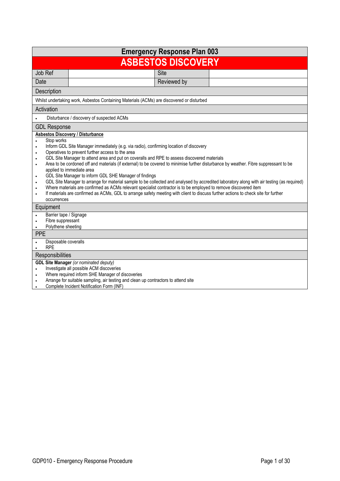|                                                                                                                                   |                                                                                                                                                                                                                                                                                                                                                                                                                                                                                                                                                                                                                                                                                                                                                                                | <b>Emergency Response Plan 003</b> |                                                                                                                                            |  |
|-----------------------------------------------------------------------------------------------------------------------------------|--------------------------------------------------------------------------------------------------------------------------------------------------------------------------------------------------------------------------------------------------------------------------------------------------------------------------------------------------------------------------------------------------------------------------------------------------------------------------------------------------------------------------------------------------------------------------------------------------------------------------------------------------------------------------------------------------------------------------------------------------------------------------------|------------------------------------|--------------------------------------------------------------------------------------------------------------------------------------------|--|
| <b>ASBESTOS DISCOVERY</b>                                                                                                         |                                                                                                                                                                                                                                                                                                                                                                                                                                                                                                                                                                                                                                                                                                                                                                                |                                    |                                                                                                                                            |  |
| Job Ref                                                                                                                           |                                                                                                                                                                                                                                                                                                                                                                                                                                                                                                                                                                                                                                                                                                                                                                                | Site                               |                                                                                                                                            |  |
| Date                                                                                                                              |                                                                                                                                                                                                                                                                                                                                                                                                                                                                                                                                                                                                                                                                                                                                                                                | Reviewed by                        |                                                                                                                                            |  |
| Description                                                                                                                       |                                                                                                                                                                                                                                                                                                                                                                                                                                                                                                                                                                                                                                                                                                                                                                                |                                    |                                                                                                                                            |  |
|                                                                                                                                   | Whilst undertaking work, Asbestos Containing Materials (ACMs) are discovered or disturbed                                                                                                                                                                                                                                                                                                                                                                                                                                                                                                                                                                                                                                                                                      |                                    |                                                                                                                                            |  |
| Activation                                                                                                                        |                                                                                                                                                                                                                                                                                                                                                                                                                                                                                                                                                                                                                                                                                                                                                                                |                                    |                                                                                                                                            |  |
|                                                                                                                                   | Disturbance / discovery of suspected ACMs                                                                                                                                                                                                                                                                                                                                                                                                                                                                                                                                                                                                                                                                                                                                      |                                    |                                                                                                                                            |  |
| <b>GDL Response</b>                                                                                                               |                                                                                                                                                                                                                                                                                                                                                                                                                                                                                                                                                                                                                                                                                                                                                                                |                                    |                                                                                                                                            |  |
| Stop works<br>$\bullet$<br>$\bullet$<br>$\bullet$<br>$\bullet$<br>$\bullet$<br>$\bullet$<br>$\bullet$<br>$\bullet$<br>occurrences | <b>Asbestos Discovery / Disturbance</b><br>Inform GDL Site Manager immediately (e.g. via radio), confirming location of discovery<br>Operatives to prevent further access to the area<br>GDL Site Manager to attend area and put on coveralls and RPE to assess discovered materials<br>Area to be cordoned off and materials (if external) to be covered to minimise further disturbance by weather. Fibre suppressant to be<br>applied to immediate area<br>GDL Site Manager to inform GDL SHE Manager of findings<br>Where materials are confirmed as ACMs relevant specialist contractor is to be employed to remove discovered item<br>If materials are confirmed as ACMs, GDL to arrange safety meeting with client to discuss further actions to check site for further |                                    | GDL Site Manager to arrange for material sample to be collected and analysed by accredited laboratory along with air testing (as required) |  |
| Equipment<br>Barrier tape / Signage<br>Fibre suppressant<br>$\bullet$<br>Polythene sheeting<br>$\bullet$<br><b>PPE</b>            |                                                                                                                                                                                                                                                                                                                                                                                                                                                                                                                                                                                                                                                                                                                                                                                |                                    |                                                                                                                                            |  |
| Disposable coveralls                                                                                                              |                                                                                                                                                                                                                                                                                                                                                                                                                                                                                                                                                                                                                                                                                                                                                                                |                                    |                                                                                                                                            |  |
| <b>RPE</b>                                                                                                                        |                                                                                                                                                                                                                                                                                                                                                                                                                                                                                                                                                                                                                                                                                                                                                                                |                                    |                                                                                                                                            |  |
| Responsibilities                                                                                                                  | <b>GDL Site Manager</b> (or nominated deputy)                                                                                                                                                                                                                                                                                                                                                                                                                                                                                                                                                                                                                                                                                                                                  |                                    |                                                                                                                                            |  |
| $\bullet$                                                                                                                         | Investigate all possible ACM discoveries                                                                                                                                                                                                                                                                                                                                                                                                                                                                                                                                                                                                                                                                                                                                       |                                    |                                                                                                                                            |  |
| $\bullet$                                                                                                                         | Where required inform SHE Manager of discoveries                                                                                                                                                                                                                                                                                                                                                                                                                                                                                                                                                                                                                                                                                                                               |                                    |                                                                                                                                            |  |
| $\bullet$<br>$\bullet$                                                                                                            | Arrange for suitable sampling, air testing and clean up contractors to attend site<br>Complete Incident Notification Form (INF)                                                                                                                                                                                                                                                                                                                                                                                                                                                                                                                                                                                                                                                |                                    |                                                                                                                                            |  |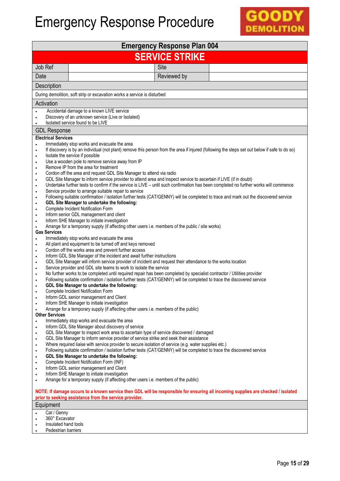

| <b>Emergency Response Plan 004</b>                                                                                                                                                                                                                                                                                                                                                                                                                                                                                                                                                                                                                                                                                                                                                                                                                                                                                                                                                                                                                                                                                                                                                                                                                                                                                                                                                                                                                                                                                                                                                                                                                                                                                                                                                                                                                                                                                                                                                                                                                                                                                                                                                                                                                                                                                                                                                                                                                                                                                                                                                                                                                                                                                                                                                                                                                                                                                                                                                                                                                                                                                                                                                                                                                                                                                                                                                                                                                            |  |  |  |  |
|---------------------------------------------------------------------------------------------------------------------------------------------------------------------------------------------------------------------------------------------------------------------------------------------------------------------------------------------------------------------------------------------------------------------------------------------------------------------------------------------------------------------------------------------------------------------------------------------------------------------------------------------------------------------------------------------------------------------------------------------------------------------------------------------------------------------------------------------------------------------------------------------------------------------------------------------------------------------------------------------------------------------------------------------------------------------------------------------------------------------------------------------------------------------------------------------------------------------------------------------------------------------------------------------------------------------------------------------------------------------------------------------------------------------------------------------------------------------------------------------------------------------------------------------------------------------------------------------------------------------------------------------------------------------------------------------------------------------------------------------------------------------------------------------------------------------------------------------------------------------------------------------------------------------------------------------------------------------------------------------------------------------------------------------------------------------------------------------------------------------------------------------------------------------------------------------------------------------------------------------------------------------------------------------------------------------------------------------------------------------------------------------------------------------------------------------------------------------------------------------------------------------------------------------------------------------------------------------------------------------------------------------------------------------------------------------------------------------------------------------------------------------------------------------------------------------------------------------------------------------------------------------------------------------------------------------------------------------------------------------------------------------------------------------------------------------------------------------------------------------------------------------------------------------------------------------------------------------------------------------------------------------------------------------------------------------------------------------------------------------------------------------------------------------------------------------------------------|--|--|--|--|
| <b>SERVICE STRIKE</b>                                                                                                                                                                                                                                                                                                                                                                                                                                                                                                                                                                                                                                                                                                                                                                                                                                                                                                                                                                                                                                                                                                                                                                                                                                                                                                                                                                                                                                                                                                                                                                                                                                                                                                                                                                                                                                                                                                                                                                                                                                                                                                                                                                                                                                                                                                                                                                                                                                                                                                                                                                                                                                                                                                                                                                                                                                                                                                                                                                                                                                                                                                                                                                                                                                                                                                                                                                                                                                         |  |  |  |  |
| Job Ref<br><b>Site</b>                                                                                                                                                                                                                                                                                                                                                                                                                                                                                                                                                                                                                                                                                                                                                                                                                                                                                                                                                                                                                                                                                                                                                                                                                                                                                                                                                                                                                                                                                                                                                                                                                                                                                                                                                                                                                                                                                                                                                                                                                                                                                                                                                                                                                                                                                                                                                                                                                                                                                                                                                                                                                                                                                                                                                                                                                                                                                                                                                                                                                                                                                                                                                                                                                                                                                                                                                                                                                                        |  |  |  |  |
| Date<br>Reviewed by                                                                                                                                                                                                                                                                                                                                                                                                                                                                                                                                                                                                                                                                                                                                                                                                                                                                                                                                                                                                                                                                                                                                                                                                                                                                                                                                                                                                                                                                                                                                                                                                                                                                                                                                                                                                                                                                                                                                                                                                                                                                                                                                                                                                                                                                                                                                                                                                                                                                                                                                                                                                                                                                                                                                                                                                                                                                                                                                                                                                                                                                                                                                                                                                                                                                                                                                                                                                                                           |  |  |  |  |
| Description                                                                                                                                                                                                                                                                                                                                                                                                                                                                                                                                                                                                                                                                                                                                                                                                                                                                                                                                                                                                                                                                                                                                                                                                                                                                                                                                                                                                                                                                                                                                                                                                                                                                                                                                                                                                                                                                                                                                                                                                                                                                                                                                                                                                                                                                                                                                                                                                                                                                                                                                                                                                                                                                                                                                                                                                                                                                                                                                                                                                                                                                                                                                                                                                                                                                                                                                                                                                                                                   |  |  |  |  |
| During demolition, soft strip or excavation works a service is disturbed                                                                                                                                                                                                                                                                                                                                                                                                                                                                                                                                                                                                                                                                                                                                                                                                                                                                                                                                                                                                                                                                                                                                                                                                                                                                                                                                                                                                                                                                                                                                                                                                                                                                                                                                                                                                                                                                                                                                                                                                                                                                                                                                                                                                                                                                                                                                                                                                                                                                                                                                                                                                                                                                                                                                                                                                                                                                                                                                                                                                                                                                                                                                                                                                                                                                                                                                                                                      |  |  |  |  |
| Activation                                                                                                                                                                                                                                                                                                                                                                                                                                                                                                                                                                                                                                                                                                                                                                                                                                                                                                                                                                                                                                                                                                                                                                                                                                                                                                                                                                                                                                                                                                                                                                                                                                                                                                                                                                                                                                                                                                                                                                                                                                                                                                                                                                                                                                                                                                                                                                                                                                                                                                                                                                                                                                                                                                                                                                                                                                                                                                                                                                                                                                                                                                                                                                                                                                                                                                                                                                                                                                                    |  |  |  |  |
| Accidental damage to a known LIVE service<br>Discovery of an unknown service (Live or Isolated)<br>$\bullet$<br>Isolated service found to be LIVE<br>$\bullet$                                                                                                                                                                                                                                                                                                                                                                                                                                                                                                                                                                                                                                                                                                                                                                                                                                                                                                                                                                                                                                                                                                                                                                                                                                                                                                                                                                                                                                                                                                                                                                                                                                                                                                                                                                                                                                                                                                                                                                                                                                                                                                                                                                                                                                                                                                                                                                                                                                                                                                                                                                                                                                                                                                                                                                                                                                                                                                                                                                                                                                                                                                                                                                                                                                                                                                |  |  |  |  |
| <b>GDL Response</b>                                                                                                                                                                                                                                                                                                                                                                                                                                                                                                                                                                                                                                                                                                                                                                                                                                                                                                                                                                                                                                                                                                                                                                                                                                                                                                                                                                                                                                                                                                                                                                                                                                                                                                                                                                                                                                                                                                                                                                                                                                                                                                                                                                                                                                                                                                                                                                                                                                                                                                                                                                                                                                                                                                                                                                                                                                                                                                                                                                                                                                                                                                                                                                                                                                                                                                                                                                                                                                           |  |  |  |  |
| <b>Electrical Services</b><br>Immediately stop works and evacuate the area<br>$\bullet$<br>If discovery is by an individual (not plant) remove this person from the area if injured (following the steps set out below if safe to do so)<br>$\bullet$<br>Isolate the service if possible<br>٠<br>Use a wooden pole to remove service away from IP<br>$\bullet$<br>Remove IP from the area for treatment<br>$\bullet$<br>Cordon off the area and request GDL Site Manager to attend via radio<br>$\bullet$<br>GDL Site Manager to inform service provider to attend area and inspect service to ascertain if LIVE (if in doubt)<br>$\bullet$<br>Undertake further tests to confirm if the service is LIVE - until such confirmation has been completed no further works will commence<br>$\bullet$<br>Service provider to arrange suitable repair to service<br>$\bullet$<br>Following suitable confirmation / isolation further tests (CAT/GENNY) will be completed to trace and mark out the discovered service<br>٠<br>GDL Site Manager to undertake the following:<br>$\bullet$<br>Complete Incident Notification Form<br>$\bullet$<br>Inform senior GDL management and client<br>$\bullet$<br>Inform SHE Manager to initiate investigation<br>$\bullet$<br>Arrange for a temporary supply (if affecting other users i.e. members of the public / site works)<br>٠<br><b>Gas Services</b><br>Immediately stop works and evacuate the area<br>All plant and equipment to be turned off and keys removed<br>$\bullet$<br>Cordon off the works area and prevent further access<br>$\bullet$<br>Inform GDL Site Manager of the incident and await further instructions<br>$\bullet$<br>GDL Site Manager will inform service provider of incident and request their attendance to the works location<br>$\bullet$<br>Service provider and GDL site teams to work to isolate the service<br>$\bullet$<br>No further works to be completed until required repair has been completed by specialist contractor / Utilities provider<br>$\bullet$<br>Following suitable confirmation / isolation further tests (CAT/GENNY) will be completed to trace the discovered service<br>$\bullet$<br>GDL Site Manager to undertake the following:<br>$\bullet$<br>Complete Incident Notification Form<br>$\bullet$<br>Inform GDL senior management and Client<br>٠<br>Inform SHE Manager to initiate investigation<br>$\bullet$<br>Arrange for a temporary supply (if affecting other users i.e. members of the public)<br>$\bullet$<br><b>Other Services</b><br>Immediately stop works and evacuate the area<br>$\bullet$<br>Inform GDL Site Manager about discovery of service<br>$\bullet$<br>GDL Site Manager to inspect work area to ascertain type of service discovered / damaged<br>$\bullet$<br>GDL Site Manager to inform service provider of service strike and seek their assistance<br>$\bullet$<br>Where required liaise with service provider to secure isolation of service (e.g. water supplies etc.)<br>٠<br>Following suitable confirmation / isolation further tests (CAT/GENNY) will be completed to trace the discovered service<br>٠<br>GDL Site Manager to undertake the following:<br>$\bullet$<br>Complete Incident Notification Form (INF)<br>٠<br>Inform GDL senior management and Client<br>٠<br>Inform SHE Manager to initiate investigation<br>٠<br>Arrange for a temporary supply (if affecting other users i.e. members of the public)<br>٠ |  |  |  |  |
| NOTE: If damage occurs to a known service then GDL will be responsible for ensuring all incoming supplies are checked / isolated                                                                                                                                                                                                                                                                                                                                                                                                                                                                                                                                                                                                                                                                                                                                                                                                                                                                                                                                                                                                                                                                                                                                                                                                                                                                                                                                                                                                                                                                                                                                                                                                                                                                                                                                                                                                                                                                                                                                                                                                                                                                                                                                                                                                                                                                                                                                                                                                                                                                                                                                                                                                                                                                                                                                                                                                                                                                                                                                                                                                                                                                                                                                                                                                                                                                                                                              |  |  |  |  |
| prior to seeking assistance from the service provider.                                                                                                                                                                                                                                                                                                                                                                                                                                                                                                                                                                                                                                                                                                                                                                                                                                                                                                                                                                                                                                                                                                                                                                                                                                                                                                                                                                                                                                                                                                                                                                                                                                                                                                                                                                                                                                                                                                                                                                                                                                                                                                                                                                                                                                                                                                                                                                                                                                                                                                                                                                                                                                                                                                                                                                                                                                                                                                                                                                                                                                                                                                                                                                                                                                                                                                                                                                                                        |  |  |  |  |
| Equipment<br>Cat / Genny                                                                                                                                                                                                                                                                                                                                                                                                                                                                                                                                                                                                                                                                                                                                                                                                                                                                                                                                                                                                                                                                                                                                                                                                                                                                                                                                                                                                                                                                                                                                                                                                                                                                                                                                                                                                                                                                                                                                                                                                                                                                                                                                                                                                                                                                                                                                                                                                                                                                                                                                                                                                                                                                                                                                                                                                                                                                                                                                                                                                                                                                                                                                                                                                                                                                                                                                                                                                                                      |  |  |  |  |
| 360° Excavator<br>$\bullet$<br>Insulated hand tools<br>٠<br>Pedestrian barriers                                                                                                                                                                                                                                                                                                                                                                                                                                                                                                                                                                                                                                                                                                                                                                                                                                                                                                                                                                                                                                                                                                                                                                                                                                                                                                                                                                                                                                                                                                                                                                                                                                                                                                                                                                                                                                                                                                                                                                                                                                                                                                                                                                                                                                                                                                                                                                                                                                                                                                                                                                                                                                                                                                                                                                                                                                                                                                                                                                                                                                                                                                                                                                                                                                                                                                                                                                               |  |  |  |  |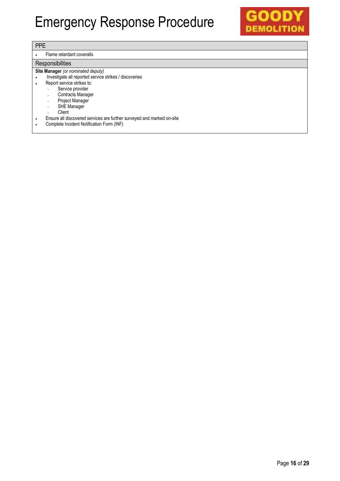

|--|--|

#### Flame retardant coveralls

#### **Responsibilities**

#### **Site Manager** *(or nominated deputy)*

- . Investigate all reported service strikes / discoveries
- Report service strikes to:
	- Service provider
	- Contracts Manager
	- Project Manager
	- SHE Manager
	- **Client**
- Ensure all discovered services are further surveyed and marked on-site
- Complete Incident Notification Form (INF)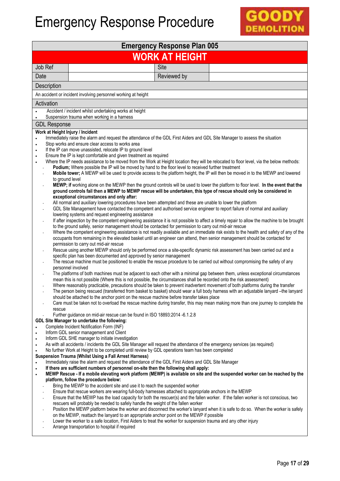

| <b>Emergency Response Plan 005</b>                                                                                                                                |                                                                                                                                                                                                                                                                                                                                                                                                                                                                                                                                                                                                                                                                                                                                                                                                                                                                                                                                                                                                                                                                                                                                                                                                                                                                                                                                                                                                                                                                                                                                                                                                                                                                                                                                                                                                                                                                                                                                                                                                                                                                                                                                                                                                                                                                                                                                                                                                                                                                                                                                                                                                                                                                                                                                                                                                                                                                                                                                                                                                                                                                                                                                                                                                                         |  |  |  |  |  |
|-------------------------------------------------------------------------------------------------------------------------------------------------------------------|-------------------------------------------------------------------------------------------------------------------------------------------------------------------------------------------------------------------------------------------------------------------------------------------------------------------------------------------------------------------------------------------------------------------------------------------------------------------------------------------------------------------------------------------------------------------------------------------------------------------------------------------------------------------------------------------------------------------------------------------------------------------------------------------------------------------------------------------------------------------------------------------------------------------------------------------------------------------------------------------------------------------------------------------------------------------------------------------------------------------------------------------------------------------------------------------------------------------------------------------------------------------------------------------------------------------------------------------------------------------------------------------------------------------------------------------------------------------------------------------------------------------------------------------------------------------------------------------------------------------------------------------------------------------------------------------------------------------------------------------------------------------------------------------------------------------------------------------------------------------------------------------------------------------------------------------------------------------------------------------------------------------------------------------------------------------------------------------------------------------------------------------------------------------------------------------------------------------------------------------------------------------------------------------------------------------------------------------------------------------------------------------------------------------------------------------------------------------------------------------------------------------------------------------------------------------------------------------------------------------------------------------------------------------------------------------------------------------------------------------------------------------------------------------------------------------------------------------------------------------------------------------------------------------------------------------------------------------------------------------------------------------------------------------------------------------------------------------------------------------------------------------------------------------------------------------------------------------------|--|--|--|--|--|
| <b>WORK AT HEIGHT</b>                                                                                                                                             |                                                                                                                                                                                                                                                                                                                                                                                                                                                                                                                                                                                                                                                                                                                                                                                                                                                                                                                                                                                                                                                                                                                                                                                                                                                                                                                                                                                                                                                                                                                                                                                                                                                                                                                                                                                                                                                                                                                                                                                                                                                                                                                                                                                                                                                                                                                                                                                                                                                                                                                                                                                                                                                                                                                                                                                                                                                                                                                                                                                                                                                                                                                                                                                                                         |  |  |  |  |  |
| Job Ref                                                                                                                                                           | <b>Site</b>                                                                                                                                                                                                                                                                                                                                                                                                                                                                                                                                                                                                                                                                                                                                                                                                                                                                                                                                                                                                                                                                                                                                                                                                                                                                                                                                                                                                                                                                                                                                                                                                                                                                                                                                                                                                                                                                                                                                                                                                                                                                                                                                                                                                                                                                                                                                                                                                                                                                                                                                                                                                                                                                                                                                                                                                                                                                                                                                                                                                                                                                                                                                                                                                             |  |  |  |  |  |
| Date                                                                                                                                                              | Reviewed by                                                                                                                                                                                                                                                                                                                                                                                                                                                                                                                                                                                                                                                                                                                                                                                                                                                                                                                                                                                                                                                                                                                                                                                                                                                                                                                                                                                                                                                                                                                                                                                                                                                                                                                                                                                                                                                                                                                                                                                                                                                                                                                                                                                                                                                                                                                                                                                                                                                                                                                                                                                                                                                                                                                                                                                                                                                                                                                                                                                                                                                                                                                                                                                                             |  |  |  |  |  |
| Description                                                                                                                                                       |                                                                                                                                                                                                                                                                                                                                                                                                                                                                                                                                                                                                                                                                                                                                                                                                                                                                                                                                                                                                                                                                                                                                                                                                                                                                                                                                                                                                                                                                                                                                                                                                                                                                                                                                                                                                                                                                                                                                                                                                                                                                                                                                                                                                                                                                                                                                                                                                                                                                                                                                                                                                                                                                                                                                                                                                                                                                                                                                                                                                                                                                                                                                                                                                                         |  |  |  |  |  |
|                                                                                                                                                                   | An accident or incident involving personnel working at height                                                                                                                                                                                                                                                                                                                                                                                                                                                                                                                                                                                                                                                                                                                                                                                                                                                                                                                                                                                                                                                                                                                                                                                                                                                                                                                                                                                                                                                                                                                                                                                                                                                                                                                                                                                                                                                                                                                                                                                                                                                                                                                                                                                                                                                                                                                                                                                                                                                                                                                                                                                                                                                                                                                                                                                                                                                                                                                                                                                                                                                                                                                                                           |  |  |  |  |  |
| Activation                                                                                                                                                        |                                                                                                                                                                                                                                                                                                                                                                                                                                                                                                                                                                                                                                                                                                                                                                                                                                                                                                                                                                                                                                                                                                                                                                                                                                                                                                                                                                                                                                                                                                                                                                                                                                                                                                                                                                                                                                                                                                                                                                                                                                                                                                                                                                                                                                                                                                                                                                                                                                                                                                                                                                                                                                                                                                                                                                                                                                                                                                                                                                                                                                                                                                                                                                                                                         |  |  |  |  |  |
|                                                                                                                                                                   | Accident / incident whilst undertaking works at height<br>Suspension trauma when working in a harness                                                                                                                                                                                                                                                                                                                                                                                                                                                                                                                                                                                                                                                                                                                                                                                                                                                                                                                                                                                                                                                                                                                                                                                                                                                                                                                                                                                                                                                                                                                                                                                                                                                                                                                                                                                                                                                                                                                                                                                                                                                                                                                                                                                                                                                                                                                                                                                                                                                                                                                                                                                                                                                                                                                                                                                                                                                                                                                                                                                                                                                                                                                   |  |  |  |  |  |
| <b>GDL Response</b>                                                                                                                                               |                                                                                                                                                                                                                                                                                                                                                                                                                                                                                                                                                                                                                                                                                                                                                                                                                                                                                                                                                                                                                                                                                                                                                                                                                                                                                                                                                                                                                                                                                                                                                                                                                                                                                                                                                                                                                                                                                                                                                                                                                                                                                                                                                                                                                                                                                                                                                                                                                                                                                                                                                                                                                                                                                                                                                                                                                                                                                                                                                                                                                                                                                                                                                                                                                         |  |  |  |  |  |
| Work at Height Injury / Incident<br>$\bullet$<br>$\bullet$<br>$\bullet$<br>$\bullet$<br>$\bullet$<br>to ground level<br>÷,<br>$\overline{\phantom{a}}$<br>rescue  | Immediately raise the alarm and request the attendance of the GDL First Aiders and GDL Site Manager to assess the situation<br>Stop works and ensure clear access to works area<br>If the IP can move unassisted, relocate IP to ground level<br>Ensure the IP is kept comfortable and given treatment as required<br>Where the IP needs assistance to be moved from the Work at Height location they will be relocated to floor level, via the below methods:<br>Podium; Where possible the IP will be moved by hand to the floor level to received further treatment<br>Mobile tower; A MEWP will be used to provide access to the platform height, the IP will then be moved in to the MEWP and lowered<br>MEWP; if working alone on the MEWP then the ground controls will be used to lower the platform to floor level. In the event that the<br>ground controls fail then a MEWP to MEWP rescue will be undertaken, this type of rescue should only be considered in<br>exceptional circumstances and only after:<br>All normal and auxiliary lowering procedures have been attempted and these are unable to lower the platform<br>GDL Site Management have contacted the competent and authorised service engineer to report failure of normal and auxiliary<br>lowering systems and request engineering assistance<br>If after inspection by the competent engineering assistance it is not possible to affect a timely repair to allow the machine to be brought<br>to the ground safely, senior management should be contacted for permission to carry out mid-air rescue<br>Where the competent engineering assistance is not readily available and an immediate risk exists to the health and safety of any of the<br>occupants from remaining in the elevated basket until an engineer can attend, then senior management should be contacted for<br>permission to carry out mid-air rescue<br>Rescue using another MEWP should only be performed once a site-specific dynamic risk assessment has been carried out and a<br>specific plan has been documented and approved by senior management<br>The rescue machine must be positioned to enable the rescue procedure to be carried out without compromising the safety of any<br>personnel involved<br>The platforms of both machines must be adjacent to each other with a minimal gap between them, unless exceptional circumstances<br>mean this is not possible (Where this is not possible, the circumstances shall be recorded onto the risk assessment)<br>Where reasonably practicable, precautions should be taken to prevent inadvertent movement of both platforms during the transfer<br>The person being rescued (transferred from basket to basket) should wear a full body harness with an adjustable lanyard -the lanyard<br>should be attached to the anchor point on the rescue machine before transfer takes place<br>Care must be taken not to overload the rescue machine during transfer, this may mean making more than one journey to complete the<br>Further guidance on mid-air rescue can be found in ISO 18893:2014 -6.1.2.8<br>GDL Site Manager to undertake the following:<br>Complete Incident Notification Form (INF) |  |  |  |  |  |
| $\bullet$                                                                                                                                                         | Inform GDL senior management and Client                                                                                                                                                                                                                                                                                                                                                                                                                                                                                                                                                                                                                                                                                                                                                                                                                                                                                                                                                                                                                                                                                                                                                                                                                                                                                                                                                                                                                                                                                                                                                                                                                                                                                                                                                                                                                                                                                                                                                                                                                                                                                                                                                                                                                                                                                                                                                                                                                                                                                                                                                                                                                                                                                                                                                                                                                                                                                                                                                                                                                                                                                                                                                                                 |  |  |  |  |  |
| $\bullet$<br>$\bullet$                                                                                                                                            | Inform GDL SHE manager to initiate investigation<br>As with all accidents / incidents the GDL Site Manager will request the attendance of the emergency services (as required)                                                                                                                                                                                                                                                                                                                                                                                                                                                                                                                                                                                                                                                                                                                                                                                                                                                                                                                                                                                                                                                                                                                                                                                                                                                                                                                                                                                                                                                                                                                                                                                                                                                                                                                                                                                                                                                                                                                                                                                                                                                                                                                                                                                                                                                                                                                                                                                                                                                                                                                                                                                                                                                                                                                                                                                                                                                                                                                                                                                                                                          |  |  |  |  |  |
| No further Work at Height to be completed until review by GDL operations team has been completed<br><b>Suspension Trauma (Whilst Using a Fall Arrest Harness)</b> |                                                                                                                                                                                                                                                                                                                                                                                                                                                                                                                                                                                                                                                                                                                                                                                                                                                                                                                                                                                                                                                                                                                                                                                                                                                                                                                                                                                                                                                                                                                                                                                                                                                                                                                                                                                                                                                                                                                                                                                                                                                                                                                                                                                                                                                                                                                                                                                                                                                                                                                                                                                                                                                                                                                                                                                                                                                                                                                                                                                                                                                                                                                                                                                                                         |  |  |  |  |  |
| $\bullet$                                                                                                                                                         | Immediately raise the alarm and request the attendance of the GDL First Aiders and GDL Site Manager<br>If there are sufficient numbers of personnel on-site then the following shall apply:                                                                                                                                                                                                                                                                                                                                                                                                                                                                                                                                                                                                                                                                                                                                                                                                                                                                                                                                                                                                                                                                                                                                                                                                                                                                                                                                                                                                                                                                                                                                                                                                                                                                                                                                                                                                                                                                                                                                                                                                                                                                                                                                                                                                                                                                                                                                                                                                                                                                                                                                                                                                                                                                                                                                                                                                                                                                                                                                                                                                                             |  |  |  |  |  |
| $\bullet$                                                                                                                                                         | MEWP Rescue - If a mobile elevating work platform (MEWP) is available on site and the suspended worker can be reached by the                                                                                                                                                                                                                                                                                                                                                                                                                                                                                                                                                                                                                                                                                                                                                                                                                                                                                                                                                                                                                                                                                                                                                                                                                                                                                                                                                                                                                                                                                                                                                                                                                                                                                                                                                                                                                                                                                                                                                                                                                                                                                                                                                                                                                                                                                                                                                                                                                                                                                                                                                                                                                                                                                                                                                                                                                                                                                                                                                                                                                                                                                            |  |  |  |  |  |
|                                                                                                                                                                   | platform, follow the procedure below:<br>Bring the MEWP to the accident site and use it to reach the suspended worker                                                                                                                                                                                                                                                                                                                                                                                                                                                                                                                                                                                                                                                                                                                                                                                                                                                                                                                                                                                                                                                                                                                                                                                                                                                                                                                                                                                                                                                                                                                                                                                                                                                                                                                                                                                                                                                                                                                                                                                                                                                                                                                                                                                                                                                                                                                                                                                                                                                                                                                                                                                                                                                                                                                                                                                                                                                                                                                                                                                                                                                                                                   |  |  |  |  |  |
|                                                                                                                                                                   | Ensure that rescue workers are wearing full-body harnesses attached to appropriate anchors in the MEWP                                                                                                                                                                                                                                                                                                                                                                                                                                                                                                                                                                                                                                                                                                                                                                                                                                                                                                                                                                                                                                                                                                                                                                                                                                                                                                                                                                                                                                                                                                                                                                                                                                                                                                                                                                                                                                                                                                                                                                                                                                                                                                                                                                                                                                                                                                                                                                                                                                                                                                                                                                                                                                                                                                                                                                                                                                                                                                                                                                                                                                                                                                                  |  |  |  |  |  |
|                                                                                                                                                                   | Ensure that the MEWP has the load capacity for both the rescuer(s) and the fallen worker. If the fallen worker is not conscious, two<br>÷.<br>rescuers will probably be needed to safely handle the weight of the fallen worker                                                                                                                                                                                                                                                                                                                                                                                                                                                                                                                                                                                                                                                                                                                                                                                                                                                                                                                                                                                                                                                                                                                                                                                                                                                                                                                                                                                                                                                                                                                                                                                                                                                                                                                                                                                                                                                                                                                                                                                                                                                                                                                                                                                                                                                                                                                                                                                                                                                                                                                                                                                                                                                                                                                                                                                                                                                                                                                                                                                         |  |  |  |  |  |
|                                                                                                                                                                   | Position the MEWP platform below the worker and disconnect the worker's lanyard when it is safe to do so. When the worker is safely<br>on the MEWP, reattach the lanyard to an appropriate anchor point on the MEWP if possible                                                                                                                                                                                                                                                                                                                                                                                                                                                                                                                                                                                                                                                                                                                                                                                                                                                                                                                                                                                                                                                                                                                                                                                                                                                                                                                                                                                                                                                                                                                                                                                                                                                                                                                                                                                                                                                                                                                                                                                                                                                                                                                                                                                                                                                                                                                                                                                                                                                                                                                                                                                                                                                                                                                                                                                                                                                                                                                                                                                         |  |  |  |  |  |
| $\overline{\phantom{a}}$                                                                                                                                          | Lower the worker to a safe location, First Aiders to treat the worker for suspension trauma and any other injury<br>Arrange transportation to hospital if required                                                                                                                                                                                                                                                                                                                                                                                                                                                                                                                                                                                                                                                                                                                                                                                                                                                                                                                                                                                                                                                                                                                                                                                                                                                                                                                                                                                                                                                                                                                                                                                                                                                                                                                                                                                                                                                                                                                                                                                                                                                                                                                                                                                                                                                                                                                                                                                                                                                                                                                                                                                                                                                                                                                                                                                                                                                                                                                                                                                                                                                      |  |  |  |  |  |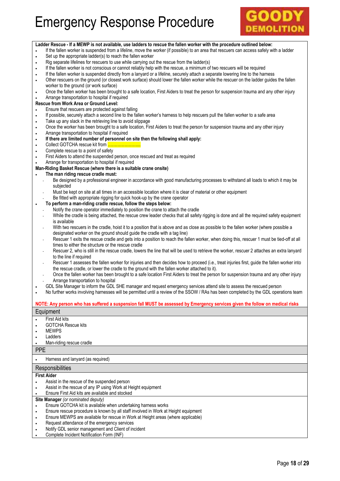

|                        | Ladder Rescue - If a MEWP is not available, use ladders to rescue the fallen worker with the procedure outlined below:                                                                                                                                          |
|------------------------|-----------------------------------------------------------------------------------------------------------------------------------------------------------------------------------------------------------------------------------------------------------------|
| $\bullet$              | If the fallen worker is suspended from a lifeline, move the worker (if possible) to an area that rescuers can access safely with a ladder<br>Set up the appropriate ladder(s) to reach the fallen worker                                                        |
| $\bullet$<br>$\bullet$ | Rig separate lifelines for rescuers to use while carrying out the rescue from the ladder(s)                                                                                                                                                                     |
| $\bullet$              | If the fallen worker is not conscious or cannot reliably help with the rescue, a minimum of two rescuers will be required                                                                                                                                       |
| $\bullet$              | If the fallen worker is suspended directly from a lanyard or a lifeline, securely attach a separate lowering line to the harness                                                                                                                                |
| $\bullet$              | Other rescuers on the ground (or closest work surface) should lower the fallen worker while the rescuer on the ladder guides the fallen                                                                                                                         |
|                        | worker to the ground (or work surface)                                                                                                                                                                                                                          |
| $\bullet$              | Once the fallen worker has been brought to a safe location, First Aiders to treat the person for suspension trauma and any other injury                                                                                                                         |
|                        | Arrange transportation to hospital if required                                                                                                                                                                                                                  |
|                        | Rescue from Work Area or Ground Level:                                                                                                                                                                                                                          |
| $\bullet$              | Ensure that rescuers are protected against falling<br>If possible, securely attach a second line to the fallen worker's harness to help rescuers pull the fallen worker to a safe area                                                                          |
| $\bullet$<br>$\bullet$ | Take up any slack in the retrieving line to avoid slippage                                                                                                                                                                                                      |
| $\bullet$              | Once the worker has been brought to a safe location, First Aiders to treat the person for suspension trauma and any other injury                                                                                                                                |
| $\bullet$              | Arrange transportation to hospital if required                                                                                                                                                                                                                  |
|                        | If there are limited number of personnel on site then the following shall apply:                                                                                                                                                                                |
| $\bullet$              |                                                                                                                                                                                                                                                                 |
| $\bullet$              | Complete rescue to a point of safety                                                                                                                                                                                                                            |
|                        | First Aiders to attend the suspended person, once rescued and treat as required                                                                                                                                                                                 |
|                        | Arrange for transportation to hospital if required                                                                                                                                                                                                              |
|                        | Man-Riding Basket Rescue (where there is a suitable crane onsite)<br>The man riding rescue cradle must:                                                                                                                                                         |
| $\mathcal{L}$          | Be designed by a professional engineer in accordance with good manufacturing processes to withstand all loads to which it may be                                                                                                                                |
|                        | subjected                                                                                                                                                                                                                                                       |
|                        | Must be kept on site at all times in an accessible location where it is clear of material or other equipment                                                                                                                                                    |
|                        | Be fitted with appropriate rigging for quick hook-up by the crane operator                                                                                                                                                                                      |
| $\bullet$              | To perform a man-riding cradle rescue, follow the steps below:                                                                                                                                                                                                  |
|                        | Notify the crane operator immediately to position the crane to attach the cradle                                                                                                                                                                                |
|                        | While the cradle is being attached, the rescue crew leader checks that all safety rigging is done and all the required safety equipment                                                                                                                         |
|                        | is available                                                                                                                                                                                                                                                    |
|                        | With two rescuers in the cradle, hoist it to a position that is above and as close as possible to the fallen worker (where possible a<br>designated worker on the ground should guide the cradle with a tag line)                                               |
|                        | Rescuer 1 exits the rescue cradle and gets into a position to reach the fallen worker, when doing this, rescuer 1 must be tied-off at all                                                                                                                       |
|                        | times to either the structure or the rescue cradle                                                                                                                                                                                                              |
| $\Box$                 | Rescuer 2, who is still in the rescue cradle, lowers the line that will be used to retrieve the worker, rescuer 2 attaches an extra lanyard                                                                                                                     |
|                        | to the line if required                                                                                                                                                                                                                                         |
| ÷,                     | Rescuer 1 assesses the fallen worker for injuries and then decides how to proceed (i.e., treat injuries first, guide the fallen worker into                                                                                                                     |
|                        | the rescue cradle, or lower the cradle to the ground with the fallen worker attached to it).                                                                                                                                                                    |
|                        | Once the fallen worker has been brought to a safe location First Aiders to treat the person for suspension trauma and any other injury                                                                                                                          |
|                        | Arrange transportation to hospital                                                                                                                                                                                                                              |
|                        | GDL Site Manager to inform the GDL SHE manager and request emergency services attend site to assess the rescued person<br>No further works involving harnesses will be permitted until a review of the SSOW / RAs has been completed by the GDL operations team |
|                        |                                                                                                                                                                                                                                                                 |
|                        | NOTE: Any person who has suffered a suspension fall MUST be assessed by Emergency services given the follow on medical risks                                                                                                                                    |
|                        | Equipment                                                                                                                                                                                                                                                       |
|                        | First Aid kits                                                                                                                                                                                                                                                  |
|                        | <b>GOTCHA Rescue kits</b>                                                                                                                                                                                                                                       |
|                        | <b>MEWPS</b>                                                                                                                                                                                                                                                    |
|                        | Ladders                                                                                                                                                                                                                                                         |
|                        | Man-riding rescue cradle                                                                                                                                                                                                                                        |
| <b>PPE</b>             |                                                                                                                                                                                                                                                                 |
|                        | Harness and lanyard (as required)                                                                                                                                                                                                                               |
|                        |                                                                                                                                                                                                                                                                 |
|                        | Responsibilities                                                                                                                                                                                                                                                |
|                        | <b>First Aider</b>                                                                                                                                                                                                                                              |
| $\bullet$              | Assist in the rescue of the suspended person<br>Assist in the rescue of any IP using Work at Height equipment                                                                                                                                                   |
| $\bullet$              | Ensure First Aid kits are available and stocked                                                                                                                                                                                                                 |
|                        | Site Manager (or nominated deputy)                                                                                                                                                                                                                              |
| $\bullet$              | Ensure GOTCHA kit is available when undertaking harness works                                                                                                                                                                                                   |
| $\bullet$              | Ensure rescue procedure is known by all staff involved in Work at Height equipment                                                                                                                                                                              |
| ٠                      | Ensure MEWPS are available for rescue in Work at Height areas (where applicable)                                                                                                                                                                                |
| $\bullet$              | Request attendance of the emergency services                                                                                                                                                                                                                    |
| $\bullet$              | Notify GDL senior management and Client of incident                                                                                                                                                                                                             |
|                        | Complete Incident Notification Form (INF)                                                                                                                                                                                                                       |
|                        |                                                                                                                                                                                                                                                                 |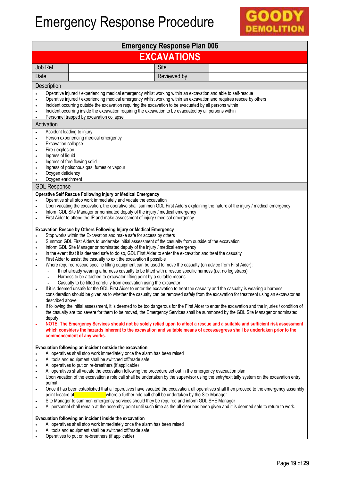

| <b>Emergency Response Plan 006</b>                                                                                                                                          |                                                                                                                                                                                                                                                                                                                                                                                                                                                                                                                                                                                                                                                                                                                                                                                                                                                                                                                                                                                                                                                                                                                                                                                                                                                                                                                                                                                                                                                                                                                                                                                                                                                                                                                                                                                                                                                                                                                                                                                                                                                                                                                                                                                                                                        |  |  |  |
|-----------------------------------------------------------------------------------------------------------------------------------------------------------------------------|----------------------------------------------------------------------------------------------------------------------------------------------------------------------------------------------------------------------------------------------------------------------------------------------------------------------------------------------------------------------------------------------------------------------------------------------------------------------------------------------------------------------------------------------------------------------------------------------------------------------------------------------------------------------------------------------------------------------------------------------------------------------------------------------------------------------------------------------------------------------------------------------------------------------------------------------------------------------------------------------------------------------------------------------------------------------------------------------------------------------------------------------------------------------------------------------------------------------------------------------------------------------------------------------------------------------------------------------------------------------------------------------------------------------------------------------------------------------------------------------------------------------------------------------------------------------------------------------------------------------------------------------------------------------------------------------------------------------------------------------------------------------------------------------------------------------------------------------------------------------------------------------------------------------------------------------------------------------------------------------------------------------------------------------------------------------------------------------------------------------------------------------------------------------------------------------------------------------------------------|--|--|--|
| <b>EXCAVATIONS</b>                                                                                                                                                          |                                                                                                                                                                                                                                                                                                                                                                                                                                                                                                                                                                                                                                                                                                                                                                                                                                                                                                                                                                                                                                                                                                                                                                                                                                                                                                                                                                                                                                                                                                                                                                                                                                                                                                                                                                                                                                                                                                                                                                                                                                                                                                                                                                                                                                        |  |  |  |
| Job Ref                                                                                                                                                                     | Site                                                                                                                                                                                                                                                                                                                                                                                                                                                                                                                                                                                                                                                                                                                                                                                                                                                                                                                                                                                                                                                                                                                                                                                                                                                                                                                                                                                                                                                                                                                                                                                                                                                                                                                                                                                                                                                                                                                                                                                                                                                                                                                                                                                                                                   |  |  |  |
| Date                                                                                                                                                                        | Reviewed by                                                                                                                                                                                                                                                                                                                                                                                                                                                                                                                                                                                                                                                                                                                                                                                                                                                                                                                                                                                                                                                                                                                                                                                                                                                                                                                                                                                                                                                                                                                                                                                                                                                                                                                                                                                                                                                                                                                                                                                                                                                                                                                                                                                                                            |  |  |  |
| Description                                                                                                                                                                 |                                                                                                                                                                                                                                                                                                                                                                                                                                                                                                                                                                                                                                                                                                                                                                                                                                                                                                                                                                                                                                                                                                                                                                                                                                                                                                                                                                                                                                                                                                                                                                                                                                                                                                                                                                                                                                                                                                                                                                                                                                                                                                                                                                                                                                        |  |  |  |
| $\bullet$                                                                                                                                                                   | Operative injured / experiencing medical emergency whilst working within an excavation and able to self-rescue<br>Operative injured / experiencing medical emergency whilst working within an excavation and requires rescue by others<br>Incident occurring outside the excavation requiring the excavation to be evacuated by all persons within<br>Incident occurring inside the excavation requiring the excavation to be evacuated by all persons within<br>Personnel trapped by excavation collapse                                                                                                                                                                                                                                                                                                                                                                                                                                                                                                                                                                                                                                                                                                                                                                                                                                                                                                                                                                                                                                                                                                                                                                                                                                                                                                                                                                                                                                                                                                                                                                                                                                                                                                                              |  |  |  |
| Activation                                                                                                                                                                  |                                                                                                                                                                                                                                                                                                                                                                                                                                                                                                                                                                                                                                                                                                                                                                                                                                                                                                                                                                                                                                                                                                                                                                                                                                                                                                                                                                                                                                                                                                                                                                                                                                                                                                                                                                                                                                                                                                                                                                                                                                                                                                                                                                                                                                        |  |  |  |
| Accident leading to injury<br>Excavation collapse<br>$\bullet$<br>Fire / explosion<br>Ingress of liquid<br>$\bullet$<br>$\bullet$<br>Oxygen deficiency<br>Oxygen enrichment | Person experiencing medical emergency<br>Ingress of free flowing solid<br>Ingress of poisonous gas, fumes or vapour                                                                                                                                                                                                                                                                                                                                                                                                                                                                                                                                                                                                                                                                                                                                                                                                                                                                                                                                                                                                                                                                                                                                                                                                                                                                                                                                                                                                                                                                                                                                                                                                                                                                                                                                                                                                                                                                                                                                                                                                                                                                                                                    |  |  |  |
| <b>GDL Response</b>                                                                                                                                                         |                                                                                                                                                                                                                                                                                                                                                                                                                                                                                                                                                                                                                                                                                                                                                                                                                                                                                                                                                                                                                                                                                                                                                                                                                                                                                                                                                                                                                                                                                                                                                                                                                                                                                                                                                                                                                                                                                                                                                                                                                                                                                                                                                                                                                                        |  |  |  |
| $\bullet$<br>$\bullet$<br>$\bullet$<br>$\bullet$<br>described above<br>deputy<br>۰                                                                                          | <b>Operative Self Rescue Following Injury or Medical Emergency</b><br>Operative shall stop work immediately and vacate the excavation<br>Upon vacating the excavation, the operative shall summon GDL First Aiders explaining the nature of the injury / medical emergency<br>Inform GDL Site Manager or nominated deputy of the injury / medical emergency<br>First Aider to attend the IP and make assessment of injury / medical emergency<br>Excavation Rescue by Others Following Injury or Medical Emergency<br>Stop works within the Excavation and make safe for access by others<br>Summon GDL First Aiders to undertake initial assessment of the casualty from outside of the excavation<br>Inform GDL Site Manager or nominated deputy of the injury / medical emergency<br>In the event that it is deemed safe to do so, GDL First Aider to enter the excavation and treat the casualty<br>First Aider to assist the casualty to exit the excavation if possible<br>Where required rescue specific lifting equipment can be used to move the casualty (on advice from First Aider):<br>If not already wearing a harness casualty to be fitted with a rescue specific harness (i.e. no leg straps)<br>Harness to be attached to excavator lifting point by a suitable means<br>Casualty to be lifted carefully from excavation using the excavator<br>If it is deemed unsafe for the GDL First Aider to enter the excavation to treat the casualty and the casualty is wearing a harness,<br>consideration should be given as to whether the casualty can be removed safely from the excavation for treatment using an excavator as<br>If following the initial assessment, it is deemed to be too dangerous for the First Aider to enter the excavation and the injuries / condition of<br>the casualty are too severe for them to be moved, the Emergency Services shall be summoned by the GDL Site Manager or nominated<br>NOTE: The Emergency Services should not be solely relied upon to affect a rescue and a suitable and sufficient risk assessment<br>which considers the hazards inherent to the excavation and suitable means of access/egress shall be undertaken prior to the<br>commencement of any works. |  |  |  |
| $\bullet$<br>$\bullet$<br>$\bullet$<br>$\bullet$<br>permit.<br>$\bullet$<br>$\bullet$<br>$\bullet$                                                                          | Evacuation following an incident outside the excavation<br>All operatives shall stop work immediately once the alarm has been raised<br>All tools and equipment shall be switched off/made safe<br>All operatives to put on re-breathers (if applicable)<br>All operatives shall vacate the excavation following the procedure set out in the emergency evacuation plan<br>Upon vacation of the excavation a role call shall be undertaken by the supervisor using the entry/exit tally system on the excavation entry<br>Once it has been established that all operatives have vacated the excavation, all operatives shall then proceed to the emergency assembly<br>Site Manager to summon emergency services should they be required and inform GDL SHE Manager<br>All personnel shall remain at the assembly point until such time as the all clear has been given and it is deemed safe to return to work.<br>Evacuation following an incident inside the excavation<br>All operatives shall stop work immediately once the alarm has been raised<br>All tools and equipment shall be switched off/made safe<br>Operatives to put on re-breathers (if applicable)                                                                                                                                                                                                                                                                                                                                                                                                                                                                                                                                                                                                                                                                                                                                                                                                                                                                                                                                                                                                                                                                |  |  |  |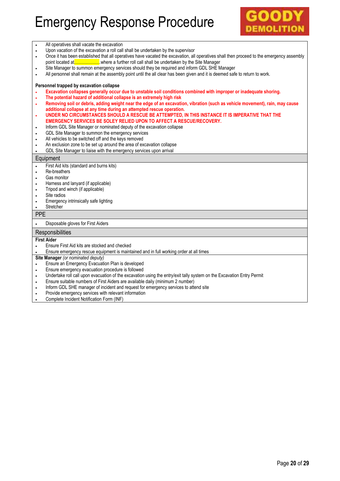

|            | All operatives shall vacate the excavation                                                                                                |  |  |  |  |
|------------|-------------------------------------------------------------------------------------------------------------------------------------------|--|--|--|--|
|            | Upon vacation of the excavation a roll call shall be undertaken by the supervisor                                                         |  |  |  |  |
| $\bullet$  | Once it has been established that all operatives have vacated the excavation, all operatives shall then proceed to the emergency assembly |  |  |  |  |
|            |                                                                                                                                           |  |  |  |  |
|            | Site Manager to summon emergency services should they be required and inform GDL SHE Manager                                              |  |  |  |  |
| $\bullet$  | All personnel shall remain at the assembly point until the all clear has been given and it is deemed safe to return to work.              |  |  |  |  |
|            |                                                                                                                                           |  |  |  |  |
|            | Personnel trapped by excavation collapse                                                                                                  |  |  |  |  |
|            | Excavation collapses generally occur due to unstable soil conditions combined with improper or inadequate shoring.                        |  |  |  |  |
| $\bullet$  | The potential hazard of additional collapse is an extremely high risk                                                                     |  |  |  |  |
| $\bullet$  | Removing soil or debris, adding weight near the edge of an excavation, vibration (such as vehicle movement), rain, may cause              |  |  |  |  |
|            | additional collapse at any time during an attempted rescue operation.                                                                     |  |  |  |  |
| $\bullet$  | UNDER NO CIRCUMSTANCES SHOULD A RESCUE BE ATTEMPTED, IN THIS INSTANCE IT IS IMPERATIVE THAT THE                                           |  |  |  |  |
|            | EMERGENCY SERVICES BE SOLEY RELIED UPON TO AFFECT A RESCUE/RECOVERY.                                                                      |  |  |  |  |
| $\bullet$  | Inform GDL Site Manager or nominated deputy of the excavation collapse                                                                    |  |  |  |  |
| $\bullet$  | GDL Site Manager to summon the emergency services                                                                                         |  |  |  |  |
|            | All vehicles to be switched off and the keys removed                                                                                      |  |  |  |  |
| $\bullet$  | An exclusion zone to be set up around the area of excavation collapse                                                                     |  |  |  |  |
|            | GDL Site Manager to liaise with the emergency services upon arrival                                                                       |  |  |  |  |
|            | Equipment                                                                                                                                 |  |  |  |  |
| $\bullet$  | First Aid kits (standard and burns kits)                                                                                                  |  |  |  |  |
| $\bullet$  | Re-breathers                                                                                                                              |  |  |  |  |
|            | Gas monitor                                                                                                                               |  |  |  |  |
| $\bullet$  | Harness and lanyard (if applicable)                                                                                                       |  |  |  |  |
| ٠          | Tripod and winch (if applicable)                                                                                                          |  |  |  |  |
|            | Site radios                                                                                                                               |  |  |  |  |
| $\bullet$  | Emergency intrinsically safe lighting                                                                                                     |  |  |  |  |
|            | Stretcher                                                                                                                                 |  |  |  |  |
| <b>PPE</b> |                                                                                                                                           |  |  |  |  |
|            | Disposable gloves for First Aiders                                                                                                        |  |  |  |  |
|            | Responsibilities                                                                                                                          |  |  |  |  |
|            | <b>First Aider</b>                                                                                                                        |  |  |  |  |
|            | Ensure First Aid kits are stocked and checked                                                                                             |  |  |  |  |
|            | Ensure emergency rescue equipment is maintained and in full working order at all times                                                    |  |  |  |  |
|            | Site Manager (or nominated deputy)                                                                                                        |  |  |  |  |
|            | Ensure an Emergency Evacuation Plan is developed                                                                                          |  |  |  |  |
|            | Ensure emergency evacuation procedure is followed                                                                                         |  |  |  |  |
| $\bullet$  | Undertake roll call upon evacuation of the excavation using the entry/exit tally system on the Excavation Entry Permit                    |  |  |  |  |
| $\bullet$  | Ensure suitable numbers of First Aiders are available daily (minimum 2 number)                                                            |  |  |  |  |
| ٠          | Inform GDL SHE manager of incident and request for emergency services to attend site                                                      |  |  |  |  |
| $\bullet$  | Provide emergency services with relevant information                                                                                      |  |  |  |  |
|            | Complete Incident Notification Form (INF)                                                                                                 |  |  |  |  |
|            |                                                                                                                                           |  |  |  |  |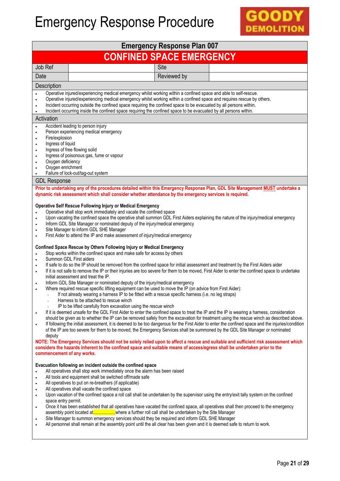

| Job Ref<br>Date<br>Description<br>$\bullet$                                                                    | <b>CONFINED SPACE EMERGENCY</b><br>Site                                                                                                                                                                                                                                                                                                                                                                                                                                                                                                                                                                                                                                                                                                                                                                                                                                                                                                                                                                                                                                                                                                                                                                                                                                                                                                                                                                                                                                                                                                                                                                                                                                                                                                                                    |  |
|----------------------------------------------------------------------------------------------------------------|----------------------------------------------------------------------------------------------------------------------------------------------------------------------------------------------------------------------------------------------------------------------------------------------------------------------------------------------------------------------------------------------------------------------------------------------------------------------------------------------------------------------------------------------------------------------------------------------------------------------------------------------------------------------------------------------------------------------------------------------------------------------------------------------------------------------------------------------------------------------------------------------------------------------------------------------------------------------------------------------------------------------------------------------------------------------------------------------------------------------------------------------------------------------------------------------------------------------------------------------------------------------------------------------------------------------------------------------------------------------------------------------------------------------------------------------------------------------------------------------------------------------------------------------------------------------------------------------------------------------------------------------------------------------------------------------------------------------------------------------------------------------------|--|
|                                                                                                                |                                                                                                                                                                                                                                                                                                                                                                                                                                                                                                                                                                                                                                                                                                                                                                                                                                                                                                                                                                                                                                                                                                                                                                                                                                                                                                                                                                                                                                                                                                                                                                                                                                                                                                                                                                            |  |
|                                                                                                                |                                                                                                                                                                                                                                                                                                                                                                                                                                                                                                                                                                                                                                                                                                                                                                                                                                                                                                                                                                                                                                                                                                                                                                                                                                                                                                                                                                                                                                                                                                                                                                                                                                                                                                                                                                            |  |
|                                                                                                                | Reviewed by                                                                                                                                                                                                                                                                                                                                                                                                                                                                                                                                                                                                                                                                                                                                                                                                                                                                                                                                                                                                                                                                                                                                                                                                                                                                                                                                                                                                                                                                                                                                                                                                                                                                                                                                                                |  |
|                                                                                                                |                                                                                                                                                                                                                                                                                                                                                                                                                                                                                                                                                                                                                                                                                                                                                                                                                                                                                                                                                                                                                                                                                                                                                                                                                                                                                                                                                                                                                                                                                                                                                                                                                                                                                                                                                                            |  |
|                                                                                                                | Operative injured/experiencing medical emergency whilst working within a confined space and able to self-rescue.<br>Operative injured/experiencing medical emergency whilst working within a confined space and requires rescue by others.<br>Incident occurring outside the confined space requiring the confined space to be evacuated by all persons within.<br>Incident occurring inside the confined space requiring the confined space to be evacuated by all persons within.                                                                                                                                                                                                                                                                                                                                                                                                                                                                                                                                                                                                                                                                                                                                                                                                                                                                                                                                                                                                                                                                                                                                                                                                                                                                                        |  |
| Activation                                                                                                     |                                                                                                                                                                                                                                                                                                                                                                                                                                                                                                                                                                                                                                                                                                                                                                                                                                                                                                                                                                                                                                                                                                                                                                                                                                                                                                                                                                                                                                                                                                                                                                                                                                                                                                                                                                            |  |
| Fire/explosion<br>$\bullet$<br>Ingress of liquid<br>$\bullet$<br>Oxygen deficiency<br>Oxygen enrichment        | Accident leading to person injury<br>Person experiencing medical emergency<br>Ingress of free flowing solid<br>Ingress of poisonous gas, fume or vapour<br>Failure of lock-out/tag-out system                                                                                                                                                                                                                                                                                                                                                                                                                                                                                                                                                                                                                                                                                                                                                                                                                                                                                                                                                                                                                                                                                                                                                                                                                                                                                                                                                                                                                                                                                                                                                                              |  |
| <b>GDL Response</b>                                                                                            |                                                                                                                                                                                                                                                                                                                                                                                                                                                                                                                                                                                                                                                                                                                                                                                                                                                                                                                                                                                                                                                                                                                                                                                                                                                                                                                                                                                                                                                                                                                                                                                                                                                                                                                                                                            |  |
|                                                                                                                | Prior to undertaking any of the procedures detailed within this Emergency Response Plan, GDL Site Management MUST undertake a<br>dynamic risk assessment which shall consider whether attendance by the emergency services is required.                                                                                                                                                                                                                                                                                                                                                                                                                                                                                                                                                                                                                                                                                                                                                                                                                                                                                                                                                                                                                                                                                                                                                                                                                                                                                                                                                                                                                                                                                                                                    |  |
| $\bullet$<br>$\bullet$<br>$\bullet$                                                                            | <b>Operative Self Rescue Following Injury or Medical Emergency</b><br>Operative shall stop work immediately and vacate the confined space<br>Upon vacating the confined space the operative shall summon GDL First Aiders explaining the nature of the injury/medical emergency<br>Inform GDL Site Manager or nominated deputy of the injury/medical emergency<br>Site Manager to inform GDL SHE Manager<br>First Aider to attend the IP and make assessment of injury/medical emergency                                                                                                                                                                                                                                                                                                                                                                                                                                                                                                                                                                                                                                                                                                                                                                                                                                                                                                                                                                                                                                                                                                                                                                                                                                                                                   |  |
| $\bullet$<br>$\bullet$<br>$\bullet$<br>deputy<br>commencement of any works.                                    | Confined Space Rescue by Others Following Injury or Medical Emergency<br>Stop works within the confined space and make safe for access by others<br>Summon GDL First aiders<br>If safe to do so the IP should be removed from the confined space for initial assessment and treatment by the First Aiders aider<br>If it is not safe to remove the IP or their injuries are too severe for them to be moved, First Aider to enter the confined space to undertake<br>initial assessment and treat the IP.<br>Inform GDL Site Manager or nominated deputy of the injury/medical emergency<br>Where required rescue specific lifting equipment can be used to move the IP (on advice from First Aider):<br>If not already wearing a harness IP to be fitted with a rescue specific harness (i.e. no leg straps)<br>Harness to be attached to rescue winch<br>IP to be lifted carefully from excavation using the rescue winch<br>If it is deemed unsafe for the GDL First Aider to enter the confined space to treat the IP and the IP is wearing a harness, consideration<br>should be given as to whether the IP can be removed safely from the excavation for treatment using the rescue winch as described above.<br>If following the initial assessment, it is deemed to be too dangerous for the First Aider to enter the confined space and the injuries/condition<br>of the IP are too severe for them to be moved, the Emergency Services shall be summoned by the GDL Site Manager or nominated<br>NOTE: The Emergency Services should not be solely relied upon to affect a rescue and suitable and sufficient risk assessment which<br>considers the hazards inherent to the confined space and suitable means of access/egress shall be undertaken prior to the |  |
| $\bullet$<br>$\bullet$<br>$\bullet$<br>$\bullet$<br>space entry permit.<br>$\bullet$<br>$\bullet$<br>$\bullet$ | Evacuation following an incident outside the confined space<br>All operatives shall stop work immediately once the alarm has been raised<br>All tools and equipment shall be switched off/made safe<br>All operatives to put on re-breathers (if applicable)<br>All operatives shall vacate the confined space<br>Upon vacation of the confined space a roll call shall be undertaken by the supervisor using the entry/exit tally system on the confined<br>Once it has been established that all operatives have vacated the confined space, all operatives shall then proceed to the emergency<br>assembly point located atwhere a further roll call shall be undertaken by the Site Manager<br>Site Manager to summon emergency services should they be required and inform GDL SHE Manager<br>All personnel shall remain at the assembly point until the all clear has been given and it is deemed safe to return to work.                                                                                                                                                                                                                                                                                                                                                                                                                                                                                                                                                                                                                                                                                                                                                                                                                                            |  |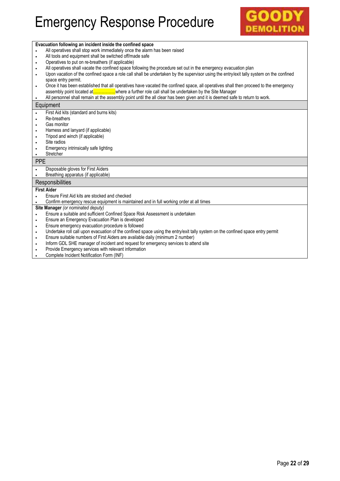### GOO **DEMOLITION**

|            | Evacuation following an incident inside the confined space                                                                              |
|------------|-----------------------------------------------------------------------------------------------------------------------------------------|
| $\bullet$  | All operatives shall stop work immediately once the alarm has been raised                                                               |
| ۰          | All tools and equipment shall be switched off/made safe                                                                                 |
| ۰          | Operatives to put on re-breathers (if applicable)                                                                                       |
| ٠          | All operatives shall vacate the confined space following the procedure set out in the emergency evacuation plan                         |
| $\bullet$  | Upon vacation of the confined space a role call shall be undertaken by the supervisor using the entry/exit tally system on the confined |
|            | space entry permit.                                                                                                                     |
| $\bullet$  | Once it has been established that all operatives have vacated the confined space, all operatives shall then proceed to the emergency    |
|            |                                                                                                                                         |
|            | All personnel shall remain at the assembly point until the all clear has been given and it is deemed safe to return to work.            |
|            | Equipment                                                                                                                               |
|            | First Aid kits (standard and burns kits)                                                                                                |
| $\bullet$  | Re-breathers                                                                                                                            |
| $\bullet$  | Gas monitor                                                                                                                             |
| ٠          | Harness and lanyard (if applicable)                                                                                                     |
| $\bullet$  | Tripod and winch (if applicable)                                                                                                        |
| $\bullet$  | Site radios                                                                                                                             |
| ٠          | Emergency intrinsically safe lighting                                                                                                   |
| $\bullet$  | Stretcher                                                                                                                               |
| <b>PPE</b> |                                                                                                                                         |
|            | Disposable gloves for First Aiders                                                                                                      |
|            | Breathing apparatus (if applicable)                                                                                                     |
|            | Responsibilities                                                                                                                        |
|            | <b>First Aider</b>                                                                                                                      |
|            | Ensure First Aid kits are stocked and checked                                                                                           |
|            | Confirm emergency rescue equipment is maintained and in full working order at all times                                                 |
|            | Site Manager (or nominated deputy)                                                                                                      |
|            | Ensure a suitable and sufficient Confined Space Risk Assessment is undertaken                                                           |
| ٠          | Ensure an Emergency Evacuation Plan is developed                                                                                        |
| ٠          | Ensure emergency evacuation procedure is followed                                                                                       |
| ٠          | Undertake roll call upon evacuation of the confined space using the entry/exit tally system on the confined space entry permit          |
| $\bullet$  | Ensure suitable numbers of First Aiders are available daily (minimum 2 number)                                                          |
| $\bullet$  | Inform GDL SHE manager of incident and request for emergency services to attend site                                                    |
|            | Provide Emergency services with relevant information                                                                                    |
|            | Consolate Installant Matification Fours (INIF)                                                                                          |

**.** Complete Incident Notification Form (INF)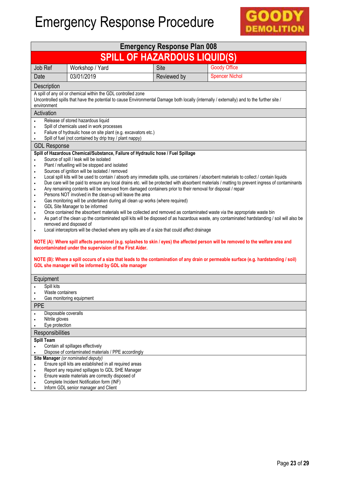

| <b>Emergency Response Plan 008</b>                                                                                                                                                                                                                                                                                                                                                                                                                                                                                                                                                                                                                                                                                                                                                                                                                                                                                                                                                                                                                                                                                                                                                                                                                                                                                                                                                                                                                                                                                                                                                                                                                                                                                                                                        |                                                                                                                                                                                                               |             |                                                                                                                                            |  |  |  |
|---------------------------------------------------------------------------------------------------------------------------------------------------------------------------------------------------------------------------------------------------------------------------------------------------------------------------------------------------------------------------------------------------------------------------------------------------------------------------------------------------------------------------------------------------------------------------------------------------------------------------------------------------------------------------------------------------------------------------------------------------------------------------------------------------------------------------------------------------------------------------------------------------------------------------------------------------------------------------------------------------------------------------------------------------------------------------------------------------------------------------------------------------------------------------------------------------------------------------------------------------------------------------------------------------------------------------------------------------------------------------------------------------------------------------------------------------------------------------------------------------------------------------------------------------------------------------------------------------------------------------------------------------------------------------------------------------------------------------------------------------------------------------|---------------------------------------------------------------------------------------------------------------------------------------------------------------------------------------------------------------|-------------|--------------------------------------------------------------------------------------------------------------------------------------------|--|--|--|
| <b>SPILL OF HAZARDOUS LIQUID(S)</b>                                                                                                                                                                                                                                                                                                                                                                                                                                                                                                                                                                                                                                                                                                                                                                                                                                                                                                                                                                                                                                                                                                                                                                                                                                                                                                                                                                                                                                                                                                                                                                                                                                                                                                                                       |                                                                                                                                                                                                               |             |                                                                                                                                            |  |  |  |
| Job Ref                                                                                                                                                                                                                                                                                                                                                                                                                                                                                                                                                                                                                                                                                                                                                                                                                                                                                                                                                                                                                                                                                                                                                                                                                                                                                                                                                                                                                                                                                                                                                                                                                                                                                                                                                                   | Workshop / Yard                                                                                                                                                                                               | Site        | <b>Goody Office</b>                                                                                                                        |  |  |  |
| Date                                                                                                                                                                                                                                                                                                                                                                                                                                                                                                                                                                                                                                                                                                                                                                                                                                                                                                                                                                                                                                                                                                                                                                                                                                                                                                                                                                                                                                                                                                                                                                                                                                                                                                                                                                      | 03/01/2019                                                                                                                                                                                                    | Reviewed by | <b>Spencer Nichol</b>                                                                                                                      |  |  |  |
| Description                                                                                                                                                                                                                                                                                                                                                                                                                                                                                                                                                                                                                                                                                                                                                                                                                                                                                                                                                                                                                                                                                                                                                                                                                                                                                                                                                                                                                                                                                                                                                                                                                                                                                                                                                               |                                                                                                                                                                                                               |             |                                                                                                                                            |  |  |  |
| environment                                                                                                                                                                                                                                                                                                                                                                                                                                                                                                                                                                                                                                                                                                                                                                                                                                                                                                                                                                                                                                                                                                                                                                                                                                                                                                                                                                                                                                                                                                                                                                                                                                                                                                                                                               | A spill of any oil or chemical within the GDL controlled zone                                                                                                                                                 |             | Uncontrolled spills that have the potential to cause Environmental Damage both locally (internally / externally) and to the further site / |  |  |  |
| Activation                                                                                                                                                                                                                                                                                                                                                                                                                                                                                                                                                                                                                                                                                                                                                                                                                                                                                                                                                                                                                                                                                                                                                                                                                                                                                                                                                                                                                                                                                                                                                                                                                                                                                                                                                                |                                                                                                                                                                                                               |             |                                                                                                                                            |  |  |  |
| $\bullet$                                                                                                                                                                                                                                                                                                                                                                                                                                                                                                                                                                                                                                                                                                                                                                                                                                                                                                                                                                                                                                                                                                                                                                                                                                                                                                                                                                                                                                                                                                                                                                                                                                                                                                                                                                 | Release of stored hazardous liquid<br>Spill of chemicals used in work processes<br>Failure of hydraulic hose on site plant (e.g. excavators etc.)<br>Spill of fuel (not contained by drip tray / plant nappy) |             |                                                                                                                                            |  |  |  |
| <b>GDL Response</b>                                                                                                                                                                                                                                                                                                                                                                                                                                                                                                                                                                                                                                                                                                                                                                                                                                                                                                                                                                                                                                                                                                                                                                                                                                                                                                                                                                                                                                                                                                                                                                                                                                                                                                                                                       |                                                                                                                                                                                                               |             |                                                                                                                                            |  |  |  |
| Spill of Hazardous Chemical/Substance, Failure of Hydraulic hose / Fuel Spillage<br>Source of spill / leak will be isolated<br>$\bullet$<br>Plant / refuelling will be stopped and isolated<br>$\bullet$<br>Sources of ignition will be isolated / removed<br>$\bullet$<br>Local spill kits will be used to contain / absorb any immediate spills, use containers / absorbent materials to collect / contain liquids<br>$\bullet$<br>Due care will be paid to ensure any local drains etc. will be protected with absorbent materials / matting to prevent ingress of contaminants<br>$\bullet$<br>Any remaining contents will be removed from damaged containers prior to their removal for disposal / repair<br>$\bullet$<br>Persons NOT involved in the clean-up will leave the area<br>$\bullet$<br>Gas monitoring will be undertaken during all clean up works (where required)<br>GDL Site Manager to be informed<br>$\bullet$<br>Once contained the absorbent materials will be collected and removed as contaminated waste via the appropriate waste bin<br>$\bullet$<br>As part of the clean up the contaminated spill kits will be disposed of as hazardous waste, any contaminated hardstanding / soil will also be<br>$\bullet$<br>removed and disposed of<br>Local interceptors will be checked where any spills are of a size that could affect drainage<br>NOTE (A): Where spill affects personnel (e.g. splashes to skin / eyes) the affected person will be removed to the welfare area and<br>decontaminated under the supervision of the First Aider.<br>NOTE (B): Where a spill occurs of a size that leads to the contamination of any drain or permeable surface (e.g. hardstanding / soil)<br>GDL she manager will be informed by GDL site manager |                                                                                                                                                                                                               |             |                                                                                                                                            |  |  |  |
| Equipment                                                                                                                                                                                                                                                                                                                                                                                                                                                                                                                                                                                                                                                                                                                                                                                                                                                                                                                                                                                                                                                                                                                                                                                                                                                                                                                                                                                                                                                                                                                                                                                                                                                                                                                                                                 |                                                                                                                                                                                                               |             |                                                                                                                                            |  |  |  |
| Spill kits<br>Waste containers<br>Gas monitoring equipment                                                                                                                                                                                                                                                                                                                                                                                                                                                                                                                                                                                                                                                                                                                                                                                                                                                                                                                                                                                                                                                                                                                                                                                                                                                                                                                                                                                                                                                                                                                                                                                                                                                                                                                |                                                                                                                                                                                                               |             |                                                                                                                                            |  |  |  |
| <b>PPE</b>                                                                                                                                                                                                                                                                                                                                                                                                                                                                                                                                                                                                                                                                                                                                                                                                                                                                                                                                                                                                                                                                                                                                                                                                                                                                                                                                                                                                                                                                                                                                                                                                                                                                                                                                                                |                                                                                                                                                                                                               |             |                                                                                                                                            |  |  |  |
| Disposable coveralls<br>Nitrile gloves<br>Eye protection                                                                                                                                                                                                                                                                                                                                                                                                                                                                                                                                                                                                                                                                                                                                                                                                                                                                                                                                                                                                                                                                                                                                                                                                                                                                                                                                                                                                                                                                                                                                                                                                                                                                                                                  |                                                                                                                                                                                                               |             |                                                                                                                                            |  |  |  |
| Responsibilities                                                                                                                                                                                                                                                                                                                                                                                                                                                                                                                                                                                                                                                                                                                                                                                                                                                                                                                                                                                                                                                                                                                                                                                                                                                                                                                                                                                                                                                                                                                                                                                                                                                                                                                                                          |                                                                                                                                                                                                               |             |                                                                                                                                            |  |  |  |
| Spill Team                                                                                                                                                                                                                                                                                                                                                                                                                                                                                                                                                                                                                                                                                                                                                                                                                                                                                                                                                                                                                                                                                                                                                                                                                                                                                                                                                                                                                                                                                                                                                                                                                                                                                                                                                                |                                                                                                                                                                                                               |             |                                                                                                                                            |  |  |  |
| Contain all spillages effectively                                                                                                                                                                                                                                                                                                                                                                                                                                                                                                                                                                                                                                                                                                                                                                                                                                                                                                                                                                                                                                                                                                                                                                                                                                                                                                                                                                                                                                                                                                                                                                                                                                                                                                                                         |                                                                                                                                                                                                               |             |                                                                                                                                            |  |  |  |
| Dispose of contaminated materials / PPE accordingly<br>Site Manager (or nominated deputy)                                                                                                                                                                                                                                                                                                                                                                                                                                                                                                                                                                                                                                                                                                                                                                                                                                                                                                                                                                                                                                                                                                                                                                                                                                                                                                                                                                                                                                                                                                                                                                                                                                                                                 |                                                                                                                                                                                                               |             |                                                                                                                                            |  |  |  |
| Ensure spill kits are established in all required areas<br>$\bullet$                                                                                                                                                                                                                                                                                                                                                                                                                                                                                                                                                                                                                                                                                                                                                                                                                                                                                                                                                                                                                                                                                                                                                                                                                                                                                                                                                                                                                                                                                                                                                                                                                                                                                                      |                                                                                                                                                                                                               |             |                                                                                                                                            |  |  |  |
| Report any required spillages to GDL SHE Manager<br>$\bullet$<br>Ensure waste materials are correctly disposed of                                                                                                                                                                                                                                                                                                                                                                                                                                                                                                                                                                                                                                                                                                                                                                                                                                                                                                                                                                                                                                                                                                                                                                                                                                                                                                                                                                                                                                                                                                                                                                                                                                                         |                                                                                                                                                                                                               |             |                                                                                                                                            |  |  |  |
|                                                                                                                                                                                                                                                                                                                                                                                                                                                                                                                                                                                                                                                                                                                                                                                                                                                                                                                                                                                                                                                                                                                                                                                                                                                                                                                                                                                                                                                                                                                                                                                                                                                                                                                                                                           | Complete Incident Notification form (INF)                                                                                                                                                                     |             |                                                                                                                                            |  |  |  |
| Inform GDL senior manager and Client                                                                                                                                                                                                                                                                                                                                                                                                                                                                                                                                                                                                                                                                                                                                                                                                                                                                                                                                                                                                                                                                                                                                                                                                                                                                                                                                                                                                                                                                                                                                                                                                                                                                                                                                      |                                                                                                                                                                                                               |             |                                                                                                                                            |  |  |  |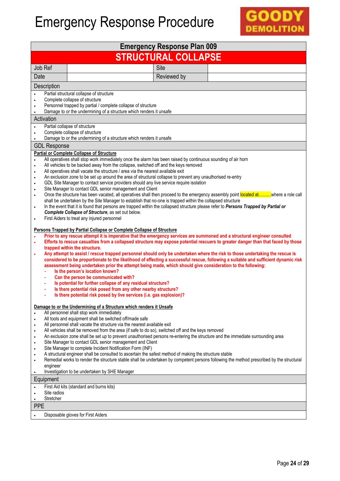

|                                                                                                                                                                                                                                                                                                                                                                                                                                                                                                                                                                                                                                                                                                                                                                                                                                                                                                                                                                                                                                                          |                                                                                                                                                                                                                                                                                                                                                                                                                                                                                                                                                                                                                                                                                                                                                                                                                                                                                                                                                                                                                                                                                                                                                                                                                                                                                                                                                                                                                                                                                                                                                                                                                                                                                                                                                                                                                                                                                                                                                                                                                                                                                              | <b>Emergency Response Plan 009</b> |  |  |  |
|----------------------------------------------------------------------------------------------------------------------------------------------------------------------------------------------------------------------------------------------------------------------------------------------------------------------------------------------------------------------------------------------------------------------------------------------------------------------------------------------------------------------------------------------------------------------------------------------------------------------------------------------------------------------------------------------------------------------------------------------------------------------------------------------------------------------------------------------------------------------------------------------------------------------------------------------------------------------------------------------------------------------------------------------------------|----------------------------------------------------------------------------------------------------------------------------------------------------------------------------------------------------------------------------------------------------------------------------------------------------------------------------------------------------------------------------------------------------------------------------------------------------------------------------------------------------------------------------------------------------------------------------------------------------------------------------------------------------------------------------------------------------------------------------------------------------------------------------------------------------------------------------------------------------------------------------------------------------------------------------------------------------------------------------------------------------------------------------------------------------------------------------------------------------------------------------------------------------------------------------------------------------------------------------------------------------------------------------------------------------------------------------------------------------------------------------------------------------------------------------------------------------------------------------------------------------------------------------------------------------------------------------------------------------------------------------------------------------------------------------------------------------------------------------------------------------------------------------------------------------------------------------------------------------------------------------------------------------------------------------------------------------------------------------------------------------------------------------------------------------------------------------------------------|------------------------------------|--|--|--|
| <b>STRUCTURAL COLLAPSE</b>                                                                                                                                                                                                                                                                                                                                                                                                                                                                                                                                                                                                                                                                                                                                                                                                                                                                                                                                                                                                                               |                                                                                                                                                                                                                                                                                                                                                                                                                                                                                                                                                                                                                                                                                                                                                                                                                                                                                                                                                                                                                                                                                                                                                                                                                                                                                                                                                                                                                                                                                                                                                                                                                                                                                                                                                                                                                                                                                                                                                                                                                                                                                              |                                    |  |  |  |
| Job Ref                                                                                                                                                                                                                                                                                                                                                                                                                                                                                                                                                                                                                                                                                                                                                                                                                                                                                                                                                                                                                                                  |                                                                                                                                                                                                                                                                                                                                                                                                                                                                                                                                                                                                                                                                                                                                                                                                                                                                                                                                                                                                                                                                                                                                                                                                                                                                                                                                                                                                                                                                                                                                                                                                                                                                                                                                                                                                                                                                                                                                                                                                                                                                                              | Site                               |  |  |  |
| Date                                                                                                                                                                                                                                                                                                                                                                                                                                                                                                                                                                                                                                                                                                                                                                                                                                                                                                                                                                                                                                                     |                                                                                                                                                                                                                                                                                                                                                                                                                                                                                                                                                                                                                                                                                                                                                                                                                                                                                                                                                                                                                                                                                                                                                                                                                                                                                                                                                                                                                                                                                                                                                                                                                                                                                                                                                                                                                                                                                                                                                                                                                                                                                              | Reviewed by                        |  |  |  |
| Description                                                                                                                                                                                                                                                                                                                                                                                                                                                                                                                                                                                                                                                                                                                                                                                                                                                                                                                                                                                                                                              |                                                                                                                                                                                                                                                                                                                                                                                                                                                                                                                                                                                                                                                                                                                                                                                                                                                                                                                                                                                                                                                                                                                                                                                                                                                                                                                                                                                                                                                                                                                                                                                                                                                                                                                                                                                                                                                                                                                                                                                                                                                                                              |                                    |  |  |  |
|                                                                                                                                                                                                                                                                                                                                                                                                                                                                                                                                                                                                                                                                                                                                                                                                                                                                                                                                                                                                                                                          | Partial structural collapse of structure<br>Complete collapse of structure<br>Personnel trapped by partial / complete collapse of structure<br>Damage to or the undermining of a structure which renders it unsafe                                                                                                                                                                                                                                                                                                                                                                                                                                                                                                                                                                                                                                                                                                                                                                                                                                                                                                                                                                                                                                                                                                                                                                                                                                                                                                                                                                                                                                                                                                                                                                                                                                                                                                                                                                                                                                                                           |                                    |  |  |  |
| Activation                                                                                                                                                                                                                                                                                                                                                                                                                                                                                                                                                                                                                                                                                                                                                                                                                                                                                                                                                                                                                                               |                                                                                                                                                                                                                                                                                                                                                                                                                                                                                                                                                                                                                                                                                                                                                                                                                                                                                                                                                                                                                                                                                                                                                                                                                                                                                                                                                                                                                                                                                                                                                                                                                                                                                                                                                                                                                                                                                                                                                                                                                                                                                              |                                    |  |  |  |
| $\bullet$<br>$\bullet$<br><b>GDL Response</b>                                                                                                                                                                                                                                                                                                                                                                                                                                                                                                                                                                                                                                                                                                                                                                                                                                                                                                                                                                                                            | Partial collapse of structure<br>Complete collapse of structure<br>Damage to or the undermining of a structure which renders it unsafe                                                                                                                                                                                                                                                                                                                                                                                                                                                                                                                                                                                                                                                                                                                                                                                                                                                                                                                                                                                                                                                                                                                                                                                                                                                                                                                                                                                                                                                                                                                                                                                                                                                                                                                                                                                                                                                                                                                                                       |                                    |  |  |  |
|                                                                                                                                                                                                                                                                                                                                                                                                                                                                                                                                                                                                                                                                                                                                                                                                                                                                                                                                                                                                                                                          |                                                                                                                                                                                                                                                                                                                                                                                                                                                                                                                                                                                                                                                                                                                                                                                                                                                                                                                                                                                                                                                                                                                                                                                                                                                                                                                                                                                                                                                                                                                                                                                                                                                                                                                                                                                                                                                                                                                                                                                                                                                                                              |                                    |  |  |  |
| $\bullet$<br>$\bullet$<br>$\bullet$<br>$\bullet$<br>$\bullet$<br>$\bullet$<br>$\bullet$<br>$\bullet$<br>$\bullet$<br>÷,<br>$\blacksquare$<br>Is there potential risk posed by live services (i.e. gas explosion)?                                                                                                                                                                                                                                                                                                                                                                                                                                                                                                                                                                                                                                                                                                                                                                                                                                        | <b>Partial or Complete Collapse of Structure</b><br>All operatives shall stop work immediately once the alarm has been raised by continuous sounding of air horn<br>All vehicles to be backed away from the collapse, switched off and the keys removed<br>All operatives shall vacate the structure / area via the nearest available exit<br>An exclusion zone to be set up around the area of structural collapse to prevent any unauthorised re-entry<br>GDL Site Manager to contact service providers should any live service require isolation<br>Site Manager to contact GDL senior management and Client<br>Once the structure has been vacated, all operatives shall then proceed to the emergency assembly point located atwhere a role call<br>shall be undertaken by the Site Manager to establish that no-one is trapped within the collapsed structure<br>In the event that it is found that persons are trapped within the collapsed structure please refer to Persons Trapped by Partial or<br>Complete Collapse of Structure, as set out below.<br>First Aiders to treat any injured personnel<br>Persons Trapped by Partial Collapse or Complete Collapse of Structure<br>Prior to any rescue attempt it is imperative that the emergency services are summoned and a structural engineer consulted<br>Efforts to rescue casualties from a collapsed structure may expose potential rescuers to greater danger than that faced by those<br>trapped within the structure.<br>Any attempt to assist / rescue trapped personnel should only be undertaken where the risk to those undertaking the rescue is<br>considered to be proportionate to the likelihood of effecting a successful rescue, following a suitable and sufficient dynamic risk<br>assessment being undertaken prior the attempt being made, which should give consideration to the following:<br>Is the person's location known?<br>Can the person be communicated with?<br>Is potential for further collapse of any residual structure?<br>Is there potential risk posed from any other nearby structure? |                                    |  |  |  |
| Damage to or the Undermining of a Structure which renders it Unsafe<br>All personnel shall stop work immediately<br>All tools and equipment shall be switched off/made safe<br>All personnel shall vacate the structure via the nearest available exit<br>All vehicles shall be removed from the area (if safe to do so), switched off and the keys removed<br>$\bullet$<br>An exclusion zone shall be set up to prevent unauthorised persons re-entering the structure and the immediate surrounding area<br>$\bullet$<br>Site Manager to contact GDL senior management and Client<br>Site Manager to complete Incident Notification Form (INF)<br>A structural engineer shall be consulted to ascertain the safest method of making the structure stable<br>$\bullet$<br>Remedial works to render the structure stable shall be undertaken by competent persons following the method prescribed by the structural<br>engineer<br>Investigation to be undertaken by SHE Manager<br>Equipment<br>First Aid kits (standard and burns kits)<br>Site radios |                                                                                                                                                                                                                                                                                                                                                                                                                                                                                                                                                                                                                                                                                                                                                                                                                                                                                                                                                                                                                                                                                                                                                                                                                                                                                                                                                                                                                                                                                                                                                                                                                                                                                                                                                                                                                                                                                                                                                                                                                                                                                              |                                    |  |  |  |
| Stretcher                                                                                                                                                                                                                                                                                                                                                                                                                                                                                                                                                                                                                                                                                                                                                                                                                                                                                                                                                                                                                                                |                                                                                                                                                                                                                                                                                                                                                                                                                                                                                                                                                                                                                                                                                                                                                                                                                                                                                                                                                                                                                                                                                                                                                                                                                                                                                                                                                                                                                                                                                                                                                                                                                                                                                                                                                                                                                                                                                                                                                                                                                                                                                              |                                    |  |  |  |
| <b>PPE</b>                                                                                                                                                                                                                                                                                                                                                                                                                                                                                                                                                                                                                                                                                                                                                                                                                                                                                                                                                                                                                                               |                                                                                                                                                                                                                                                                                                                                                                                                                                                                                                                                                                                                                                                                                                                                                                                                                                                                                                                                                                                                                                                                                                                                                                                                                                                                                                                                                                                                                                                                                                                                                                                                                                                                                                                                                                                                                                                                                                                                                                                                                                                                                              |                                    |  |  |  |
|                                                                                                                                                                                                                                                                                                                                                                                                                                                                                                                                                                                                                                                                                                                                                                                                                                                                                                                                                                                                                                                          | Disposable gloves for First Aiders                                                                                                                                                                                                                                                                                                                                                                                                                                                                                                                                                                                                                                                                                                                                                                                                                                                                                                                                                                                                                                                                                                                                                                                                                                                                                                                                                                                                                                                                                                                                                                                                                                                                                                                                                                                                                                                                                                                                                                                                                                                           |                                    |  |  |  |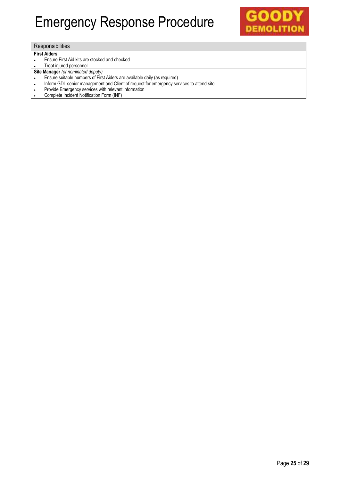

#### **Responsibilities**

#### **First Aiders**

- Ensure First Aid kits are stocked and checked
- Treat injured personnel
- **Site Manager** *(or nominated deputy)*
- Ensure suitable numbers of First Aiders are available daily (as required)
- Inform GDL senior management and Client of request for emergency services to attend site
- Provide Emergency services with relevant information
- Complete Incident Notification Form (INF)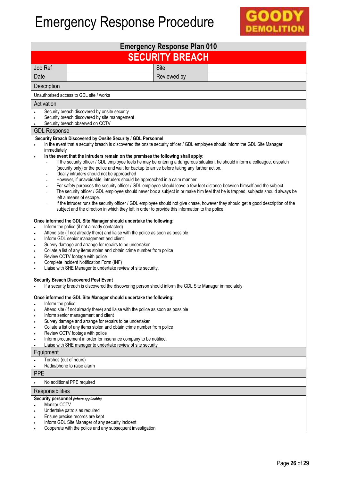

| <b>Emergency Response Plan 010</b>                                                                                                                                                                                                                                                                                                                                                                                                                                                                                                                                                                                                                                    |                                                                                                                                                                                                                                                                                                                                                                                                                                                                                                                                                                                                                                                                                                                                                                                                                                                                                                                                                                                                                                                                                                                                                                                        |             |  |  |
|-----------------------------------------------------------------------------------------------------------------------------------------------------------------------------------------------------------------------------------------------------------------------------------------------------------------------------------------------------------------------------------------------------------------------------------------------------------------------------------------------------------------------------------------------------------------------------------------------------------------------------------------------------------------------|----------------------------------------------------------------------------------------------------------------------------------------------------------------------------------------------------------------------------------------------------------------------------------------------------------------------------------------------------------------------------------------------------------------------------------------------------------------------------------------------------------------------------------------------------------------------------------------------------------------------------------------------------------------------------------------------------------------------------------------------------------------------------------------------------------------------------------------------------------------------------------------------------------------------------------------------------------------------------------------------------------------------------------------------------------------------------------------------------------------------------------------------------------------------------------------|-------------|--|--|
| <b>SECURITY BREACH</b>                                                                                                                                                                                                                                                                                                                                                                                                                                                                                                                                                                                                                                                |                                                                                                                                                                                                                                                                                                                                                                                                                                                                                                                                                                                                                                                                                                                                                                                                                                                                                                                                                                                                                                                                                                                                                                                        |             |  |  |
| Job Ref                                                                                                                                                                                                                                                                                                                                                                                                                                                                                                                                                                                                                                                               |                                                                                                                                                                                                                                                                                                                                                                                                                                                                                                                                                                                                                                                                                                                                                                                                                                                                                                                                                                                                                                                                                                                                                                                        | Site        |  |  |
| Date                                                                                                                                                                                                                                                                                                                                                                                                                                                                                                                                                                                                                                                                  |                                                                                                                                                                                                                                                                                                                                                                                                                                                                                                                                                                                                                                                                                                                                                                                                                                                                                                                                                                                                                                                                                                                                                                                        | Reviewed by |  |  |
| Description                                                                                                                                                                                                                                                                                                                                                                                                                                                                                                                                                                                                                                                           |                                                                                                                                                                                                                                                                                                                                                                                                                                                                                                                                                                                                                                                                                                                                                                                                                                                                                                                                                                                                                                                                                                                                                                                        |             |  |  |
|                                                                                                                                                                                                                                                                                                                                                                                                                                                                                                                                                                                                                                                                       | Unauthorised access to GDL site / works                                                                                                                                                                                                                                                                                                                                                                                                                                                                                                                                                                                                                                                                                                                                                                                                                                                                                                                                                                                                                                                                                                                                                |             |  |  |
| Activation                                                                                                                                                                                                                                                                                                                                                                                                                                                                                                                                                                                                                                                            |                                                                                                                                                                                                                                                                                                                                                                                                                                                                                                                                                                                                                                                                                                                                                                                                                                                                                                                                                                                                                                                                                                                                                                                        |             |  |  |
|                                                                                                                                                                                                                                                                                                                                                                                                                                                                                                                                                                                                                                                                       | Security breach discovered by onsite security<br>Security breach discovered by site management<br>Security breach observed on CCTV                                                                                                                                                                                                                                                                                                                                                                                                                                                                                                                                                                                                                                                                                                                                                                                                                                                                                                                                                                                                                                                     |             |  |  |
| <b>GDL Response</b>                                                                                                                                                                                                                                                                                                                                                                                                                                                                                                                                                                                                                                                   |                                                                                                                                                                                                                                                                                                                                                                                                                                                                                                                                                                                                                                                                                                                                                                                                                                                                                                                                                                                                                                                                                                                                                                                        |             |  |  |
| $\bullet$<br>immediately                                                                                                                                                                                                                                                                                                                                                                                                                                                                                                                                                                                                                                              | Security Breach Discovered by Onsite Security / GDL Personnel<br>In the event that a security breach is discovered the onsite security officer / GDL employee should inform the GDL Site Manager<br>In the event that the intruders remain on the premises the following shall apply:<br>If the security officer / GDL employee feels he may be entering a dangerous situation, he should inform a colleague, dispatch<br>(security only) or the police and wait for backup to arrive before taking any further action.<br>Ideally intruders should not be approached<br>However, if unavoidable, intruders should be approached in a calm manner<br>For safety purposes the security officer / GDL employee should leave a few feet distance between himself and the subject.<br>The security officer / GDL employee should never box a subject in or make him feel that he is trapped, subjects should always be<br>left a means of escape.<br>If the intruder runs the security officer / GDL employee should not give chase, however they should get a good description of the<br>subject and the direction in which they left in order to provide this information to the police. |             |  |  |
| Once informed the GDL Site Manager should undertake the following:<br>Inform the police (if not already contacted)<br>$\bullet$<br>Attend site (if not already there) and liaise with the police as soon as possible<br>$\bullet$<br>Inform GDL senior management and client<br>$\bullet$<br>Survey damage and arrange for repairs to be undertaken<br>$\bullet$<br>Collate a list of any items stolen and obtain crime number from police<br>$\bullet$<br>Review CCTV footage with police<br>$\bullet$<br>Complete Incident Notification Form (INF)<br>Liaise with SHE Manager to undertake review of site security.<br><b>Security Breach Discovered Post Event</b> |                                                                                                                                                                                                                                                                                                                                                                                                                                                                                                                                                                                                                                                                                                                                                                                                                                                                                                                                                                                                                                                                                                                                                                                        |             |  |  |
| Inform the police<br>$\bullet$<br>$\bullet$<br>$\bullet$<br>۰<br>٠<br>٠<br>٠                                                                                                                                                                                                                                                                                                                                                                                                                                                                                                                                                                                          | If a security breach is discovered the discovering person should inform the GDL Site Manager immediately<br>Once informed the GDL Site Manager should undertake the following:<br>Attend site (if not already there) and liaise with the police as soon as possible<br>Inform senior management and client<br>Survey damage and arrange for repairs to be undertaken<br>Collate a list of any items stolen and obtain crime number from police<br>Review CCTV footage with police<br>Inform procurement in order for insurance company to be notified.<br>Liaise with SHE manager to undertake review of site security                                                                                                                                                                                                                                                                                                                                                                                                                                                                                                                                                                 |             |  |  |
| Equipment                                                                                                                                                                                                                                                                                                                                                                                                                                                                                                                                                                                                                                                             |                                                                                                                                                                                                                                                                                                                                                                                                                                                                                                                                                                                                                                                                                                                                                                                                                                                                                                                                                                                                                                                                                                                                                                                        |             |  |  |
| Torches (out of hours)                                                                                                                                                                                                                                                                                                                                                                                                                                                                                                                                                                                                                                                |                                                                                                                                                                                                                                                                                                                                                                                                                                                                                                                                                                                                                                                                                                                                                                                                                                                                                                                                                                                                                                                                                                                                                                                        |             |  |  |
| Radio/phone to raise alarm<br><b>PPE</b>                                                                                                                                                                                                                                                                                                                                                                                                                                                                                                                                                                                                                              |                                                                                                                                                                                                                                                                                                                                                                                                                                                                                                                                                                                                                                                                                                                                                                                                                                                                                                                                                                                                                                                                                                                                                                                        |             |  |  |
| No additional PPE required                                                                                                                                                                                                                                                                                                                                                                                                                                                                                                                                                                                                                                            |                                                                                                                                                                                                                                                                                                                                                                                                                                                                                                                                                                                                                                                                                                                                                                                                                                                                                                                                                                                                                                                                                                                                                                                        |             |  |  |
| Responsibilities                                                                                                                                                                                                                                                                                                                                                                                                                                                                                                                                                                                                                                                      |                                                                                                                                                                                                                                                                                                                                                                                                                                                                                                                                                                                                                                                                                                                                                                                                                                                                                                                                                                                                                                                                                                                                                                                        |             |  |  |
| Monitor CCTV<br>$\bullet$<br>$\bullet$<br>$\bullet$<br>$\bullet$                                                                                                                                                                                                                                                                                                                                                                                                                                                                                                                                                                                                      | Security personnel (where applicable)<br>Undertake patrols as required<br>Ensure precise records are kept<br>Inform GDL Site Manager of any security incident<br>Cooperate with the police and any subsequent investigation                                                                                                                                                                                                                                                                                                                                                                                                                                                                                                                                                                                                                                                                                                                                                                                                                                                                                                                                                            |             |  |  |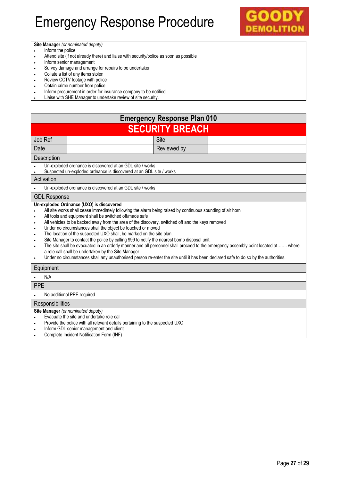

**Site Manager** *(or nominated deputy)*

- Inform the police
- Attend site (if not already there) and liaise with security/police as soon as possible
- Inform senior management
- Survey damage and arrange for repairs to be undertaken
- Collate a list of any items stolen
- Review CCTV footage with police<br>• Obtain crime number from police
- Obtain crime number from police<br>• Inform procurement in order for in
- Inform procurement in order for insurance company to be notified.
- Liaise with SHE Manager to undertake review of site security.

| <b>Emergency Response Plan 010</b>                                                                                                                                                                                                                                                                                                                                                                                                                                                                                                                                                                                                                                                                                                                                                                                                                                                                |                                                                                                                                  |             |  |  |  |  |
|---------------------------------------------------------------------------------------------------------------------------------------------------------------------------------------------------------------------------------------------------------------------------------------------------------------------------------------------------------------------------------------------------------------------------------------------------------------------------------------------------------------------------------------------------------------------------------------------------------------------------------------------------------------------------------------------------------------------------------------------------------------------------------------------------------------------------------------------------------------------------------------------------|----------------------------------------------------------------------------------------------------------------------------------|-------------|--|--|--|--|
|                                                                                                                                                                                                                                                                                                                                                                                                                                                                                                                                                                                                                                                                                                                                                                                                                                                                                                   | <b>SECURITY BREACH</b>                                                                                                           |             |  |  |  |  |
| Job Ref                                                                                                                                                                                                                                                                                                                                                                                                                                                                                                                                                                                                                                                                                                                                                                                                                                                                                           | Site                                                                                                                             |             |  |  |  |  |
| Date                                                                                                                                                                                                                                                                                                                                                                                                                                                                                                                                                                                                                                                                                                                                                                                                                                                                                              |                                                                                                                                  | Reviewed by |  |  |  |  |
| Description                                                                                                                                                                                                                                                                                                                                                                                                                                                                                                                                                                                                                                                                                                                                                                                                                                                                                       |                                                                                                                                  |             |  |  |  |  |
|                                                                                                                                                                                                                                                                                                                                                                                                                                                                                                                                                                                                                                                                                                                                                                                                                                                                                                   | Un-exploded ordnance is discovered at an GDL site / works<br>Suspected un-exploded ordnance is discovered at an GDL site / works |             |  |  |  |  |
| Activation                                                                                                                                                                                                                                                                                                                                                                                                                                                                                                                                                                                                                                                                                                                                                                                                                                                                                        |                                                                                                                                  |             |  |  |  |  |
|                                                                                                                                                                                                                                                                                                                                                                                                                                                                                                                                                                                                                                                                                                                                                                                                                                                                                                   | Un-exploded ordnance is discovered at an GDL site / works                                                                        |             |  |  |  |  |
| <b>GDL Response</b>                                                                                                                                                                                                                                                                                                                                                                                                                                                                                                                                                                                                                                                                                                                                                                                                                                                                               |                                                                                                                                  |             |  |  |  |  |
| All site works shall cease immediately following the alarm being raised by continuous sounding of air horn<br>All tools and equipment shall be switched off/made safe<br>$\bullet$<br>All vehicles to be backed away from the area of the discovery, switched off and the keys removed<br>٠<br>Under no circumstances shall the object be touched or moved<br>٠<br>The location of the suspected UXO shall, be marked on the site plan.<br>٠<br>Site Manager to contact the police by calling 999 to notify the nearest bomb disposal unit.<br>٠<br>The site shall be evacuated in an orderly manner and all personnel shall proceed to the emergency assembly point located at where<br>$\bullet$<br>a role call shall be undertaken by the Site Manager.<br>Under no circumstances shall any unauthorised person re-enter the site until it has been declared safe to do so by the authorities. |                                                                                                                                  |             |  |  |  |  |
| Equipment                                                                                                                                                                                                                                                                                                                                                                                                                                                                                                                                                                                                                                                                                                                                                                                                                                                                                         |                                                                                                                                  |             |  |  |  |  |
| N/A                                                                                                                                                                                                                                                                                                                                                                                                                                                                                                                                                                                                                                                                                                                                                                                                                                                                                               |                                                                                                                                  |             |  |  |  |  |
| <b>PPE</b>                                                                                                                                                                                                                                                                                                                                                                                                                                                                                                                                                                                                                                                                                                                                                                                                                                                                                        |                                                                                                                                  |             |  |  |  |  |
| No additional PPE required                                                                                                                                                                                                                                                                                                                                                                                                                                                                                                                                                                                                                                                                                                                                                                                                                                                                        |                                                                                                                                  |             |  |  |  |  |
| Responsibilities                                                                                                                                                                                                                                                                                                                                                                                                                                                                                                                                                                                                                                                                                                                                                                                                                                                                                  |                                                                                                                                  |             |  |  |  |  |
| Site Manager (or nominated deputy)<br>Evacuate the site and undertake role call<br>Provide the police with all relevant details pertaining to the suspected UXO<br>$\bullet$<br>Inform GDL senior management and client<br>Complete Incident Notification Form (INF)                                                                                                                                                                                                                                                                                                                                                                                                                                                                                                                                                                                                                              |                                                                                                                                  |             |  |  |  |  |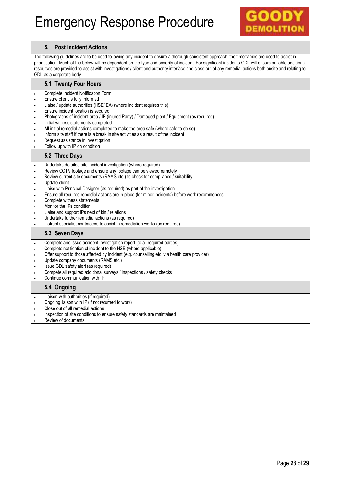

#### **5. Post Incident Actions**

The following guidelines are to be used following any incident to ensure a thorough consistent approach, the timeframes are used to assist in prioritisation. Much of the below will be dependent on the type and severity of incident. For significant incidents GDL will ensure suitable additional resources are provided to assist with investigations / client and authority interface and close out of any remedial actions both onsite and relating to GDL as a corporate body.

#### **5.1 Twenty Four Hours**

- Complete Incident Notification Form
- Ensure client is fully informed
- Liaise / update authorities (HSE/ EA) (where incident requires this)
- Ensure incident location is secured
- Photographs of incident area / IP (injured Party) / Damaged plant / Equipment (as required)
- . Initial witness statements completed
- All initial remedial actions completed to make the area safe (where safe to do so)
- Inform site staff if there is a break in site activities as a result of the incident
- **•** Request assistance in investigation
- Follow up with IP on condition

#### **5.2 Three Days**

- Undertake detailed site incident investigation (where required)
- Review CCTV footage and ensure any footage can be viewed remotely
- Review current site documents (RAMS etc.) to check for compliance / suitability
- Update client
- Liaise with Principal Designer (as required) as part of the investigation
- Ensure all required remedial actions are in place (for minor incidents) before work recommences
- Complete witness statements
- Monitor the IPs condition
- Liaise and support IPs next of kin / relations
- Undertake further remedial actions (as required)
- Instruct specialist contractors to assist in remediation works (as required)

#### **5.3 Seven Days**

- Complete and issue accident investigation report (to all required parties)
- Complete notification of incident to the HSE (where applicable)
- Offer support to those affected by incident (e.g. counselling etc. via health care provider)
- Update company documents (RAMS etc.)
- Issue GDL safety alert (as required)
- Compete all required additional surveys / inspections / safety checks
- Continue communication with IP

#### **5.4 Ongoing**

- Liaison with authorities (if required)
- Ongoing liaison with IP (if not returned to work)
- Close out of all remedial actions
- Inspection of site conditions to ensure safety standards are maintained
- Review of documents